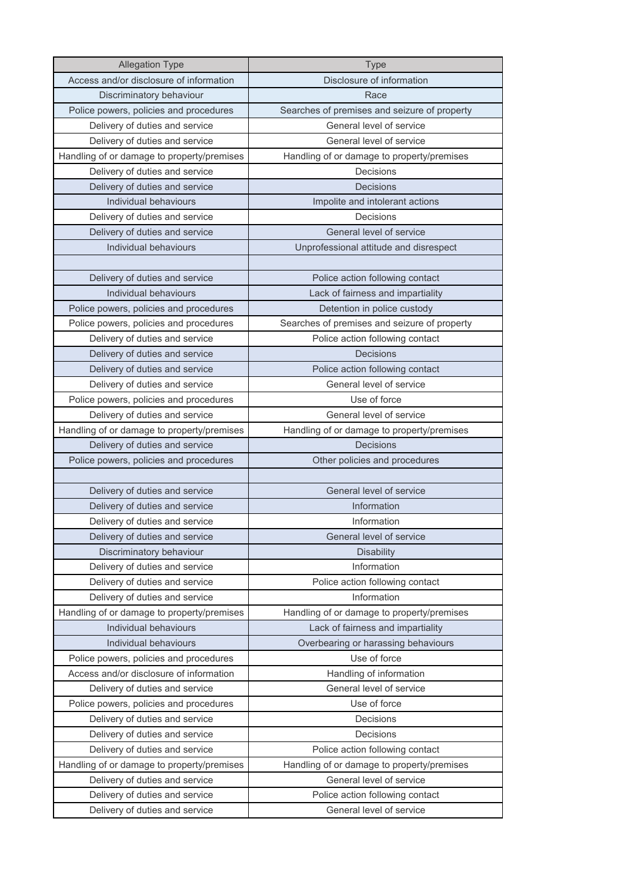| <b>Allegation Type</b>                     | Type                                         |
|--------------------------------------------|----------------------------------------------|
| Access and/or disclosure of information    | Disclosure of information                    |
| Discriminatory behaviour                   | Race                                         |
| Police powers, policies and procedures     | Searches of premises and seizure of property |
| Delivery of duties and service             | General level of service                     |
| Delivery of duties and service             | General level of service                     |
| Handling of or damage to property/premises | Handling of or damage to property/premises   |
| Delivery of duties and service             | Decisions                                    |
| Delivery of duties and service             | Decisions                                    |
| Individual behaviours                      | Impolite and intolerant actions              |
| Delivery of duties and service             | Decisions                                    |
| Delivery of duties and service             | General level of service                     |
| Individual behaviours                      | Unprofessional attitude and disrespect       |
|                                            |                                              |
| Delivery of duties and service             | Police action following contact              |
| Individual behaviours                      | Lack of fairness and impartiality            |
| Police powers, policies and procedures     | Detention in police custody                  |
| Police powers, policies and procedures     | Searches of premises and seizure of property |
| Delivery of duties and service             | Police action following contact              |
| Delivery of duties and service             | Decisions                                    |
| Delivery of duties and service             | Police action following contact              |
| Delivery of duties and service             | General level of service                     |
| Police powers, policies and procedures     | Use of force                                 |
| Delivery of duties and service             | General level of service                     |
| Handling of or damage to property/premises | Handling of or damage to property/premises   |
| Delivery of duties and service             | Decisions                                    |
| Police powers, policies and procedures     | Other policies and procedures                |
|                                            |                                              |
| Delivery of duties and service             | General level of service                     |
| Delivery of duties and service             | Information                                  |
| Delivery of duties and service             | Information                                  |
| Delivery of duties and service             | General level of service                     |
| Discriminatory behaviour                   | <b>Disability</b>                            |
| Delivery of duties and service             | Information                                  |
| Delivery of duties and service             | Police action following contact              |
| Delivery of duties and service             | Information                                  |
| Handling of or damage to property/premises | Handling of or damage to property/premises   |
| Individual behaviours                      | Lack of fairness and impartiality            |
| Individual behaviours                      | Overbearing or harassing behaviours          |
| Police powers, policies and procedures     | Use of force                                 |
| Access and/or disclosure of information    | Handling of information                      |
| Delivery of duties and service             | General level of service                     |
| Police powers, policies and procedures     | Use of force                                 |
| Delivery of duties and service             | Decisions                                    |
| Delivery of duties and service             | Decisions                                    |
| Delivery of duties and service             | Police action following contact              |
| Handling of or damage to property/premises | Handling of or damage to property/premises   |
| Delivery of duties and service             | General level of service                     |
| Delivery of duties and service             | Police action following contact              |
| Delivery of duties and service             | General level of service                     |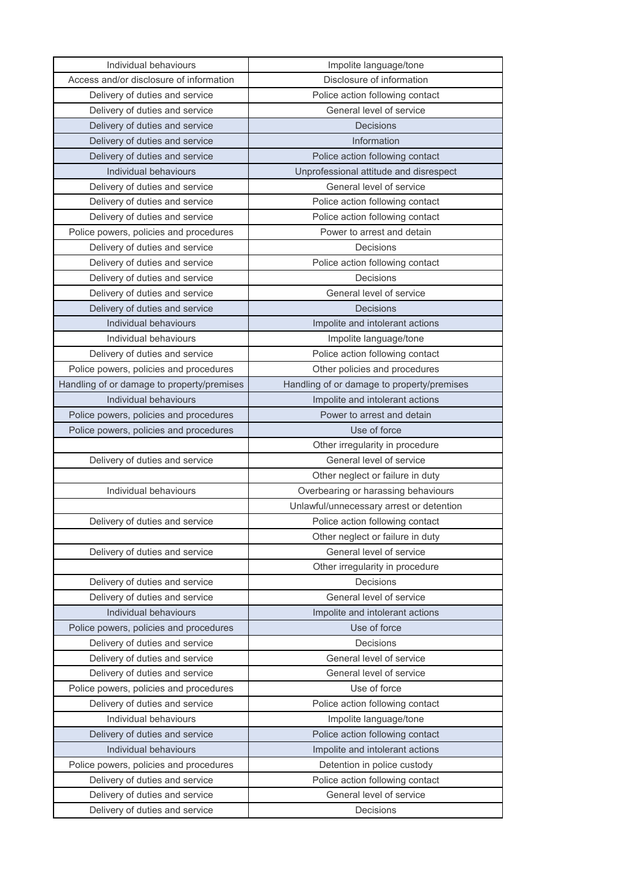| Individual behaviours                      | Impolite language/tone                     |
|--------------------------------------------|--------------------------------------------|
| Access and/or disclosure of information    | Disclosure of information                  |
| Delivery of duties and service             | Police action following contact            |
| Delivery of duties and service             | General level of service                   |
| Delivery of duties and service             | Decisions                                  |
| Delivery of duties and service             | Information                                |
| Delivery of duties and service             | Police action following contact            |
| Individual behaviours                      | Unprofessional attitude and disrespect     |
| Delivery of duties and service             | General level of service                   |
| Delivery of duties and service             | Police action following contact            |
| Delivery of duties and service             | Police action following contact            |
| Police powers, policies and procedures     | Power to arrest and detain                 |
| Delivery of duties and service             | Decisions                                  |
| Delivery of duties and service             | Police action following contact            |
| Delivery of duties and service             | <b>Decisions</b>                           |
| Delivery of duties and service             | General level of service                   |
| Delivery of duties and service             | Decisions                                  |
| Individual behaviours                      | Impolite and intolerant actions            |
| Individual behaviours                      | Impolite language/tone                     |
| Delivery of duties and service             | Police action following contact            |
| Police powers, policies and procedures     | Other policies and procedures              |
| Handling of or damage to property/premises | Handling of or damage to property/premises |
| Individual behaviours                      | Impolite and intolerant actions            |
| Police powers, policies and procedures     | Power to arrest and detain                 |
| Police powers, policies and procedures     | Use of force                               |
|                                            | Other irregularity in procedure            |
| Delivery of duties and service             | General level of service                   |
|                                            | Other neglect or failure in duty           |
| Individual behaviours                      | Overbearing or harassing behaviours        |
|                                            | Unlawful/unnecessary arrest or detention   |
| Delivery of duties and service             | Police action following contact            |
|                                            | Other neglect or failure in duty           |
| Delivery of duties and service             | General level of service                   |
|                                            | Other irregularity in procedure            |
| Delivery of duties and service             | Decisions                                  |
| Delivery of duties and service             | General level of service                   |
| Individual behaviours                      | Impolite and intolerant actions            |
| Police powers, policies and procedures     | Use of force                               |
| Delivery of duties and service             | Decisions                                  |
| Delivery of duties and service             | General level of service                   |
| Delivery of duties and service             | General level of service                   |
| Police powers, policies and procedures     | Use of force                               |
| Delivery of duties and service             | Police action following contact            |
| Individual behaviours                      | Impolite language/tone                     |
| Delivery of duties and service             | Police action following contact            |
| Individual behaviours                      | Impolite and intolerant actions            |
| Police powers, policies and procedures     | Detention in police custody                |
| Delivery of duties and service             | Police action following contact            |
| Delivery of duties and service             | General level of service                   |
| Delivery of duties and service             | Decisions                                  |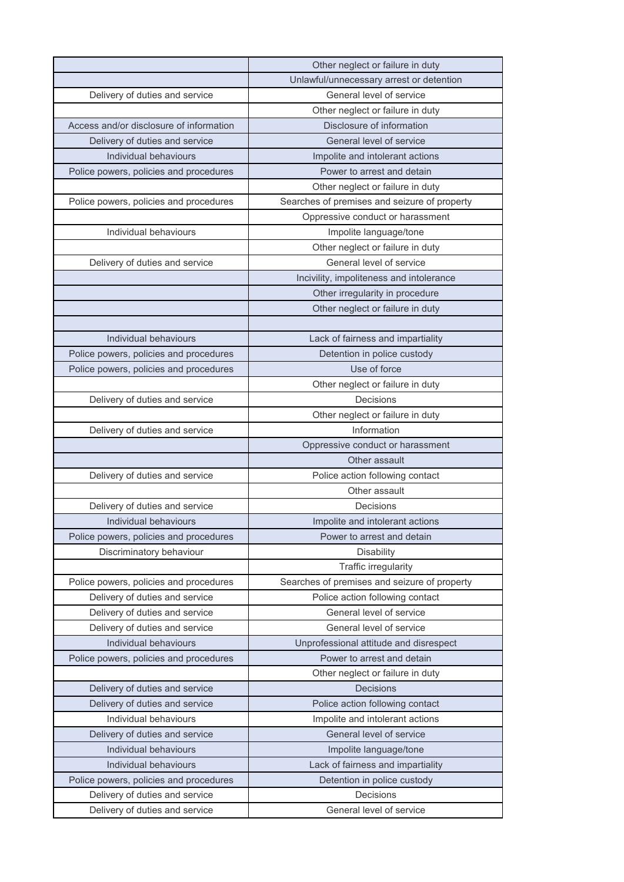|                                         | Other neglect or failure in duty             |
|-----------------------------------------|----------------------------------------------|
|                                         | Unlawful/unnecessary arrest or detention     |
| Delivery of duties and service          | General level of service                     |
|                                         | Other neglect or failure in duty             |
| Access and/or disclosure of information | Disclosure of information                    |
| Delivery of duties and service          | General level of service                     |
| Individual behaviours                   | Impolite and intolerant actions              |
| Police powers, policies and procedures  | Power to arrest and detain                   |
|                                         | Other neglect or failure in duty             |
| Police powers, policies and procedures  | Searches of premises and seizure of property |
|                                         | Oppressive conduct or harassment             |
| Individual behaviours                   | Impolite language/tone                       |
|                                         | Other neglect or failure in duty             |
| Delivery of duties and service          | General level of service                     |
|                                         | Incivility, impoliteness and intolerance     |
|                                         | Other irregularity in procedure              |
|                                         | Other neglect or failure in duty             |
|                                         |                                              |
| Individual behaviours                   | Lack of fairness and impartiality            |
| Police powers, policies and procedures  | Detention in police custody                  |
| Police powers, policies and procedures  | Use of force                                 |
|                                         | Other neglect or failure in duty             |
| Delivery of duties and service          | Decisions                                    |
|                                         | Other neglect or failure in duty             |
| Delivery of duties and service          | Information                                  |
|                                         | Oppressive conduct or harassment             |
|                                         | Other assault                                |
| Delivery of duties and service          | Police action following contact              |
|                                         | Other assault                                |
| Delivery of duties and service          | Decisions                                    |
| Individual behaviours                   | Impolite and intolerant actions              |
| Police powers, policies and procedures  | Power to arrest and detain                   |
| Discriminatory behaviour                | <b>Disability</b>                            |
|                                         | Traffic irregularity                         |
| Police powers, policies and procedures  | Searches of premises and seizure of property |
| Delivery of duties and service          | Police action following contact              |
| Delivery of duties and service          | General level of service                     |
| Delivery of duties and service          | General level of service                     |
| Individual behaviours                   | Unprofessional attitude and disrespect       |
| Police powers, policies and procedures  | Power to arrest and detain                   |
|                                         | Other neglect or failure in duty             |
| Delivery of duties and service          | Decisions                                    |
| Delivery of duties and service          | Police action following contact              |
| Individual behaviours                   | Impolite and intolerant actions              |
| Delivery of duties and service          | General level of service                     |
| Individual behaviours                   | Impolite language/tone                       |
| Individual behaviours                   | Lack of fairness and impartiality            |
| Police powers, policies and procedures  | Detention in police custody                  |
| Delivery of duties and service          | Decisions                                    |
| Delivery of duties and service          | General level of service                     |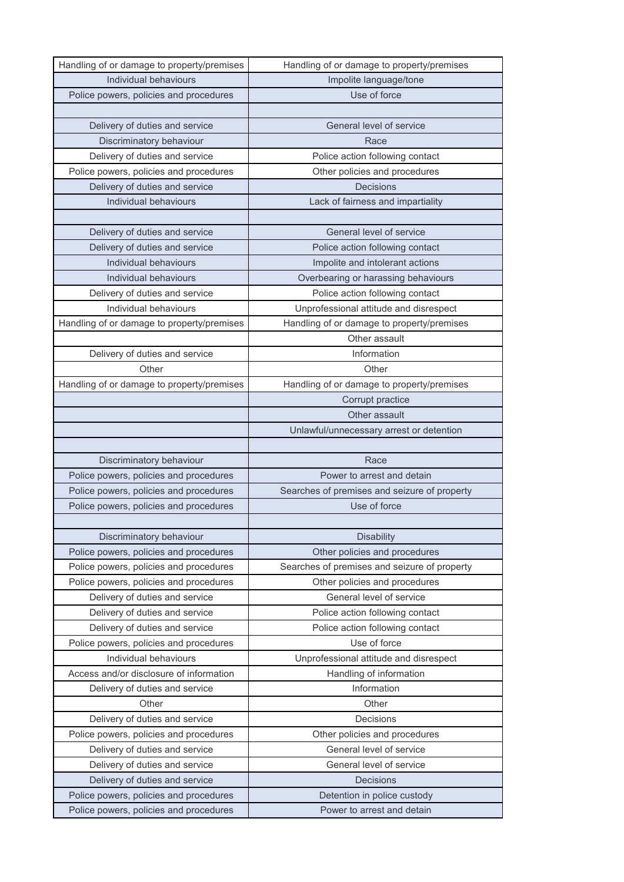| Handling of or damage to property/premises | Handling of or damage to property/premises                |
|--------------------------------------------|-----------------------------------------------------------|
| Individual behaviours                      | Impolite language/tone                                    |
| Police powers, policies and procedures     | Use of force                                              |
|                                            |                                                           |
| Delivery of duties and service             | General level of service                                  |
| Discriminatory behaviour                   | Race                                                      |
| Delivery of duties and service             | Police action following contact                           |
| Police powers, policies and procedures     | Other policies and procedures                             |
| Delivery of duties and service             | Decisions                                                 |
| Individual behaviours                      | Lack of fairness and impartiality                         |
|                                            |                                                           |
| Delivery of duties and service             | General level of service                                  |
| Delivery of duties and service             | Police action following contact                           |
| Individual behaviours                      | Impolite and intolerant actions                           |
| Individual behaviours                      | Overbearing or harassing behaviours                       |
| Delivery of duties and service             | Police action following contact                           |
| Individual behaviours                      | Unprofessional attitude and disrespect                    |
| Handling of or damage to property/premises | Handling of or damage to property/premises                |
|                                            | Other assault                                             |
| Delivery of duties and service             | Information                                               |
| Other                                      | Other                                                     |
| Handling of or damage to property/premises | Handling of or damage to property/premises                |
|                                            | Corrupt practice                                          |
|                                            | Other assault                                             |
|                                            | Unlawful/unnecessary arrest or detention                  |
|                                            |                                                           |
|                                            |                                                           |
| Discriminatory behaviour                   | Race                                                      |
| Police powers, policies and procedures     | Power to arrest and detain                                |
| Police powers, policies and procedures     | Searches of premises and seizure of property              |
| Police powers, policies and procedures     | Use of force                                              |
|                                            |                                                           |
| Discriminatory behaviour                   | <b>Disability</b>                                         |
| Police powers, policies and procedures     | Other policies and procedures                             |
| Police powers, policies and procedures     | Searches of premises and seizure of property              |
| Police powers, policies and procedures     | Other policies and procedures                             |
| Delivery of duties and service             | General level of service                                  |
| Delivery of duties and service             | Police action following contact                           |
| Delivery of duties and service             | Police action following contact                           |
| Police powers, policies and procedures     | Use of force                                              |
| Individual behaviours                      | Unprofessional attitude and disrespect                    |
| Access and/or disclosure of information    | Handling of information                                   |
| Delivery of duties and service             | Information                                               |
| Other                                      | Other                                                     |
| Delivery of duties and service             | Decisions                                                 |
| Police powers, policies and procedures     | Other policies and procedures                             |
| Delivery of duties and service             | General level of service                                  |
| Delivery of duties and service             | General level of service                                  |
| Delivery of duties and service             | Decisions                                                 |
| Police powers, policies and procedures     | Detention in police custody<br>Power to arrest and detain |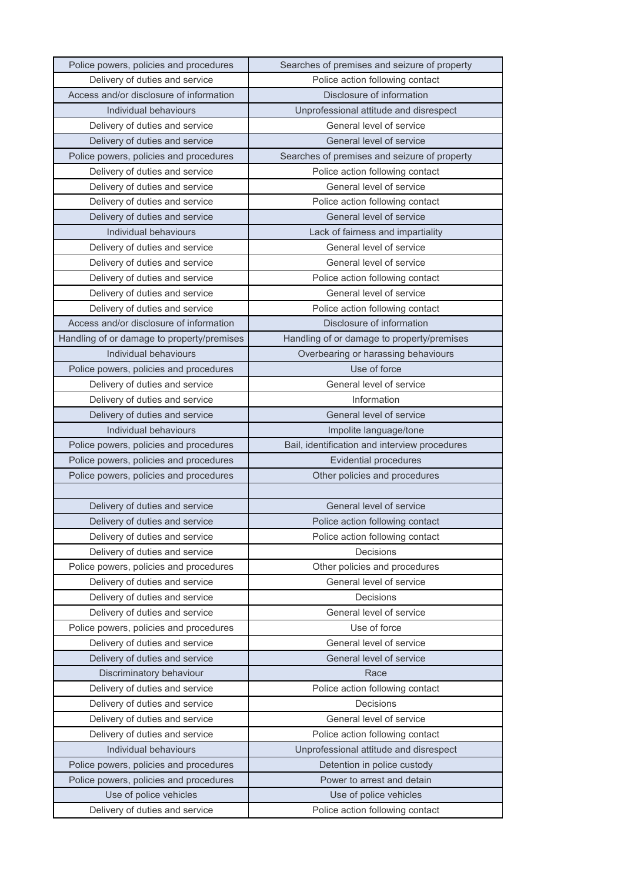| Police powers, policies and procedures     | Searches of premises and seizure of property  |
|--------------------------------------------|-----------------------------------------------|
| Delivery of duties and service             | Police action following contact               |
| Access and/or disclosure of information    | Disclosure of information                     |
| Individual behaviours                      | Unprofessional attitude and disrespect        |
| Delivery of duties and service             | General level of service                      |
| Delivery of duties and service             | General level of service                      |
| Police powers, policies and procedures     | Searches of premises and seizure of property  |
| Delivery of duties and service             | Police action following contact               |
| Delivery of duties and service             | General level of service                      |
| Delivery of duties and service             | Police action following contact               |
| Delivery of duties and service             | General level of service                      |
| Individual behaviours                      | Lack of fairness and impartiality             |
| Delivery of duties and service             | General level of service                      |
| Delivery of duties and service             | General level of service                      |
| Delivery of duties and service             | Police action following contact               |
| Delivery of duties and service             | General level of service                      |
| Delivery of duties and service             | Police action following contact               |
| Access and/or disclosure of information    | Disclosure of information                     |
| Handling of or damage to property/premises | Handling of or damage to property/premises    |
| Individual behaviours                      | Overbearing or harassing behaviours           |
| Police powers, policies and procedures     | Use of force                                  |
| Delivery of duties and service             | General level of service                      |
| Delivery of duties and service             | Information                                   |
| Delivery of duties and service             | General level of service                      |
| Individual behaviours                      | Impolite language/tone                        |
| Police powers, policies and procedures     | Bail, identification and interview procedures |
| Police powers, policies and procedures     | <b>Evidential procedures</b>                  |
| Police powers, policies and procedures     | Other policies and procedures                 |
|                                            |                                               |
| Delivery of duties and service             | General level of service                      |
| Delivery of duties and service             | Police action following contact               |
| Delivery of duties and service             | Police action following contact               |
| Delivery of duties and service             | Decisions                                     |
| Police powers, policies and procedures     | Other policies and procedures                 |
| Delivery of duties and service             | General level of service                      |
| Delivery of duties and service             | Decisions                                     |
| Delivery of duties and service             | General level of service                      |
| Police powers, policies and procedures     | Use of force                                  |
| Delivery of duties and service             | General level of service                      |
| Delivery of duties and service             | General level of service                      |
| Discriminatory behaviour                   | Race                                          |
| Delivery of duties and service             | Police action following contact               |
| Delivery of duties and service             | Decisions                                     |
| Delivery of duties and service             | General level of service                      |
| Delivery of duties and service             | Police action following contact               |
| Individual behaviours                      | Unprofessional attitude and disrespect        |
| Police powers, policies and procedures     | Detention in police custody                   |
| Police powers, policies and procedures     | Power to arrest and detain                    |
| Use of police vehicles                     | Use of police vehicles                        |
| Delivery of duties and service             | Police action following contact               |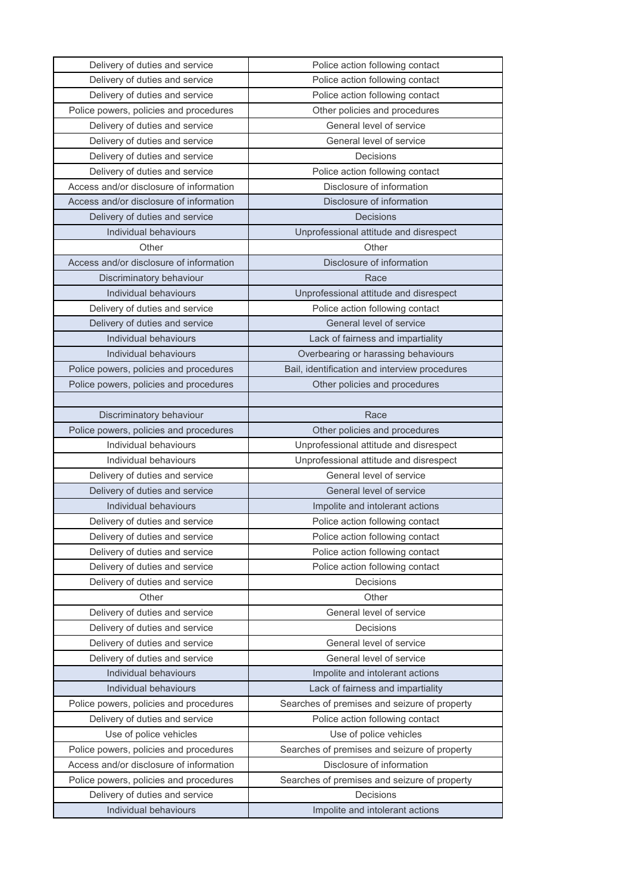| Delivery of duties and service                          | Police action following contact               |
|---------------------------------------------------------|-----------------------------------------------|
| Delivery of duties and service                          | Police action following contact               |
| Delivery of duties and service                          | Police action following contact               |
| Police powers, policies and procedures                  | Other policies and procedures                 |
| Delivery of duties and service                          | General level of service                      |
| Delivery of duties and service                          | General level of service                      |
| Delivery of duties and service                          | Decisions                                     |
| Delivery of duties and service                          | Police action following contact               |
| Access and/or disclosure of information                 | Disclosure of information                     |
| Access and/or disclosure of information                 | Disclosure of information                     |
| Delivery of duties and service                          | <b>Decisions</b>                              |
| Individual behaviours                                   | Unprofessional attitude and disrespect        |
| Other                                                   | Other                                         |
| Access and/or disclosure of information                 | Disclosure of information                     |
| Discriminatory behaviour                                | Race                                          |
| Individual behaviours                                   | Unprofessional attitude and disrespect        |
| Delivery of duties and service                          | Police action following contact               |
| Delivery of duties and service                          | General level of service                      |
| Individual behaviours                                   | Lack of fairness and impartiality             |
| Individual behaviours                                   | Overbearing or harassing behaviours           |
| Police powers, policies and procedures                  | Bail, identification and interview procedures |
| Police powers, policies and procedures                  | Other policies and procedures                 |
|                                                         |                                               |
| Discriminatory behaviour                                | Race                                          |
| Police powers, policies and procedures                  | Other policies and procedures                 |
| Individual behaviours                                   | Unprofessional attitude and disrespect        |
| Individual behaviours                                   | Unprofessional attitude and disrespect        |
| Delivery of duties and service                          | General level of service                      |
| Delivery of duties and service                          | General level of service                      |
| Individual behaviours                                   | Impolite and intolerant actions               |
| Delivery of duties and service                          | Police action following contact               |
| Delivery of duties and service                          | Police action following contact               |
| Delivery of duties and service                          | Police action following contact               |
| Delivery of duties and service                          | Police action following contact               |
| Delivery of duties and service                          | Decisions                                     |
| Other                                                   | Other                                         |
| Delivery of duties and service                          | General level of service                      |
| Delivery of duties and service                          | Decisions                                     |
| Delivery of duties and service                          | General level of service                      |
| Delivery of duties and service                          | General level of service                      |
| Individual behaviours                                   | Impolite and intolerant actions               |
| Individual behaviours                                   | Lack of fairness and impartiality             |
| Police powers, policies and procedures                  | Searches of premises and seizure of property  |
| Delivery of duties and service                          | Police action following contact               |
| Use of police vehicles                                  | Use of police vehicles                        |
| Police powers, policies and procedures                  | Searches of premises and seizure of property  |
| Access and/or disclosure of information                 | Disclosure of information                     |
| Police powers, policies and procedures                  | Searches of premises and seizure of property  |
|                                                         |                                               |
| Delivery of duties and service<br>Individual behaviours | Decisions<br>Impolite and intolerant actions  |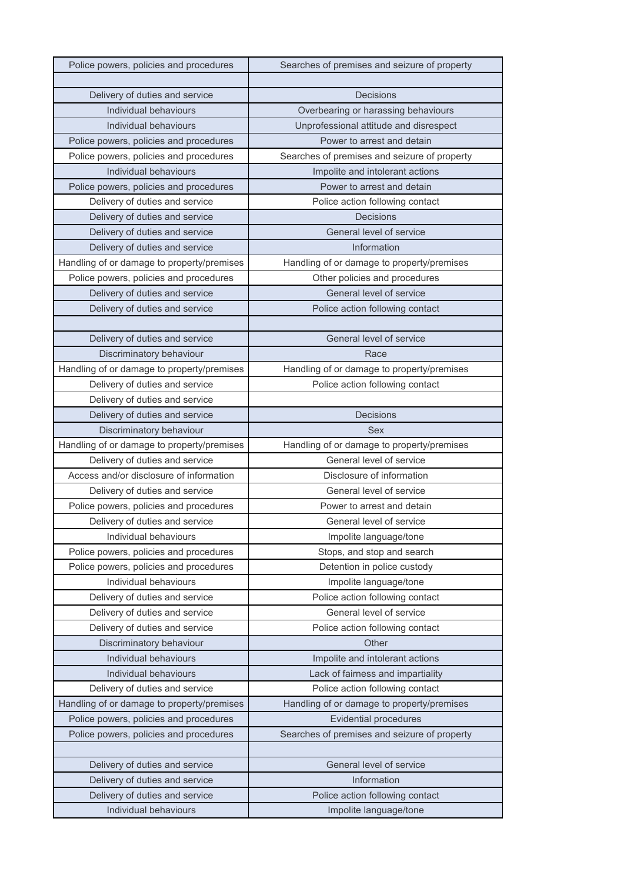| Police powers, policies and procedures     | Searches of premises and seizure of property |
|--------------------------------------------|----------------------------------------------|
|                                            |                                              |
| Delivery of duties and service             | Decisions                                    |
| Individual behaviours                      | Overbearing or harassing behaviours          |
| Individual behaviours                      | Unprofessional attitude and disrespect       |
| Police powers, policies and procedures     | Power to arrest and detain                   |
| Police powers, policies and procedures     | Searches of premises and seizure of property |
| Individual behaviours                      | Impolite and intolerant actions              |
| Police powers, policies and procedures     | Power to arrest and detain                   |
| Delivery of duties and service             | Police action following contact              |
| Delivery of duties and service             | <b>Decisions</b>                             |
| Delivery of duties and service             | General level of service                     |
| Delivery of duties and service             | Information                                  |
| Handling of or damage to property/premises | Handling of or damage to property/premises   |
| Police powers, policies and procedures     | Other policies and procedures                |
| Delivery of duties and service             | General level of service                     |
| Delivery of duties and service             | Police action following contact              |
|                                            |                                              |
| Delivery of duties and service             | General level of service                     |
| Discriminatory behaviour                   | Race                                         |
| Handling of or damage to property/premises | Handling of or damage to property/premises   |
| Delivery of duties and service             | Police action following contact              |
| Delivery of duties and service             |                                              |
| Delivery of duties and service             | Decisions                                    |
| Discriminatory behaviour                   | Sex                                          |
| Handling of or damage to property/premises | Handling of or damage to property/premises   |
| Delivery of duties and service             | General level of service                     |
| Access and/or disclosure of information    | Disclosure of information                    |
| Delivery of duties and service             | General level of service                     |
| Police powers, policies and procedures     | Power to arrest and detain                   |
| Delivery of duties and service             | General level of service                     |
| Individual behaviours                      | Impolite language/tone                       |
| Police powers, policies and procedures     | Stops, and stop and search                   |
| Police powers, policies and procedures     | Detention in police custody                  |
| Individual behaviours                      | Impolite language/tone                       |
| Delivery of duties and service             | Police action following contact              |
| Delivery of duties and service             | General level of service                     |
| Delivery of duties and service             | Police action following contact              |
| Discriminatory behaviour                   | Other                                        |
| Individual behaviours                      | Impolite and intolerant actions              |
| Individual behaviours                      | Lack of fairness and impartiality            |
| Delivery of duties and service             | Police action following contact              |
| Handling of or damage to property/premises | Handling of or damage to property/premises   |
| Police powers, policies and procedures     | <b>Evidential procedures</b>                 |
| Police powers, policies and procedures     | Searches of premises and seizure of property |
|                                            |                                              |
| Delivery of duties and service             | General level of service                     |
| Delivery of duties and service             | Information                                  |
| Delivery of duties and service             | Police action following contact              |
| Individual behaviours                      | Impolite language/tone                       |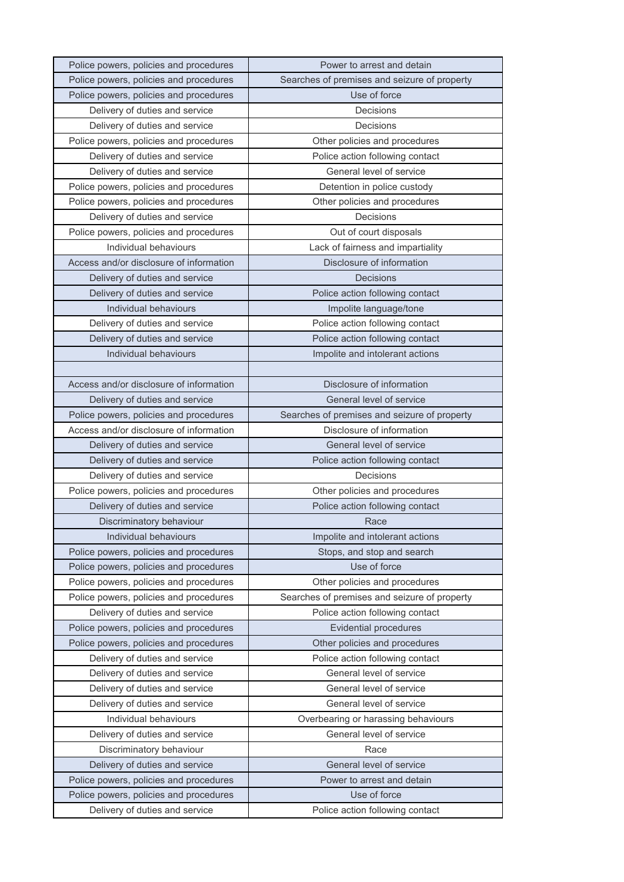| Police powers, policies and procedures                                   | Power to arrest and detain                      |
|--------------------------------------------------------------------------|-------------------------------------------------|
| Police powers, policies and procedures                                   | Searches of premises and seizure of property    |
| Police powers, policies and procedures                                   | Use of force                                    |
| Delivery of duties and service                                           | Decisions                                       |
| Delivery of duties and service                                           | Decisions                                       |
| Police powers, policies and procedures                                   | Other policies and procedures                   |
| Delivery of duties and service                                           | Police action following contact                 |
| Delivery of duties and service                                           | General level of service                        |
| Police powers, policies and procedures                                   | Detention in police custody                     |
| Police powers, policies and procedures                                   | Other policies and procedures                   |
| Delivery of duties and service                                           | Decisions                                       |
| Police powers, policies and procedures                                   | Out of court disposals                          |
| Individual behaviours                                                    | Lack of fairness and impartiality               |
| Access and/or disclosure of information                                  | Disclosure of information                       |
| Delivery of duties and service                                           | Decisions                                       |
| Delivery of duties and service                                           | Police action following contact                 |
| Individual behaviours                                                    | Impolite language/tone                          |
| Delivery of duties and service                                           | Police action following contact                 |
| Delivery of duties and service                                           | Police action following contact                 |
| Individual behaviours                                                    | Impolite and intolerant actions                 |
|                                                                          |                                                 |
| Access and/or disclosure of information                                  | Disclosure of information                       |
| Delivery of duties and service                                           | General level of service                        |
| Police powers, policies and procedures                                   | Searches of premises and seizure of property    |
| Access and/or disclosure of information                                  | Disclosure of information                       |
| Delivery of duties and service                                           | General level of service                        |
| Delivery of duties and service                                           | Police action following contact                 |
| Delivery of duties and service                                           | Decisions                                       |
| Police powers, policies and procedures                                   | Other policies and procedures                   |
| Delivery of duties and service                                           | Police action following contact                 |
| Discriminatory behaviour                                                 | Race                                            |
| Individual behaviours                                                    | Impolite and intolerant actions                 |
| Police powers, policies and procedures                                   | Stops, and stop and search                      |
| Police powers, policies and procedures                                   | Use of force                                    |
| Police powers, policies and procedures                                   | Other policies and procedures                   |
| Police powers, policies and procedures                                   | Searches of premises and seizure of property    |
| Delivery of duties and service                                           | Police action following contact                 |
| Police powers, policies and procedures                                   | <b>Evidential procedures</b>                    |
| Police powers, policies and procedures                                   | Other policies and procedures                   |
| Delivery of duties and service                                           | Police action following contact                 |
| Delivery of duties and service                                           | General level of service                        |
| Delivery of duties and service                                           | General level of service                        |
| Delivery of duties and service                                           | General level of service                        |
| Individual behaviours                                                    | Overbearing or harassing behaviours             |
| Delivery of duties and service                                           | General level of service                        |
| Discriminatory behaviour                                                 | Race                                            |
| Delivery of duties and service                                           | General level of service                        |
|                                                                          |                                                 |
| Police powers, policies and procedures                                   | Power to arrest and detain                      |
| Police powers, policies and procedures<br>Delivery of duties and service | Use of force<br>Police action following contact |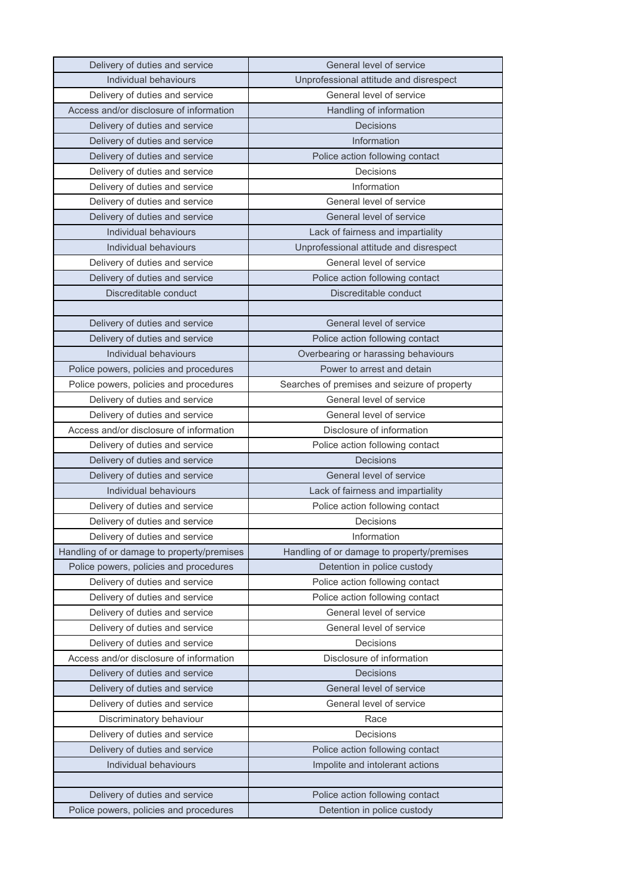| Delivery of duties and service             | General level of service                     |
|--------------------------------------------|----------------------------------------------|
| Individual behaviours                      | Unprofessional attitude and disrespect       |
| Delivery of duties and service             | General level of service                     |
| Access and/or disclosure of information    | Handling of information                      |
| Delivery of duties and service             | Decisions                                    |
| Delivery of duties and service             | Information                                  |
| Delivery of duties and service             | Police action following contact              |
| Delivery of duties and service             | Decisions                                    |
| Delivery of duties and service             | Information                                  |
| Delivery of duties and service             | General level of service                     |
| Delivery of duties and service             | General level of service                     |
| Individual behaviours                      | Lack of fairness and impartiality            |
| Individual behaviours                      | Unprofessional attitude and disrespect       |
| Delivery of duties and service             | General level of service                     |
| Delivery of duties and service             | Police action following contact              |
| Discreditable conduct                      | Discreditable conduct                        |
|                                            |                                              |
| Delivery of duties and service             | General level of service                     |
| Delivery of duties and service             | Police action following contact              |
| Individual behaviours                      | Overbearing or harassing behaviours          |
| Police powers, policies and procedures     | Power to arrest and detain                   |
| Police powers, policies and procedures     | Searches of premises and seizure of property |
| Delivery of duties and service             | General level of service                     |
| Delivery of duties and service             | General level of service                     |
| Access and/or disclosure of information    | Disclosure of information                    |
| Delivery of duties and service             | Police action following contact              |
| Delivery of duties and service             | Decisions                                    |
| Delivery of duties and service             | General level of service                     |
| Individual behaviours                      | Lack of fairness and impartiality            |
| Delivery of duties and service             | Police action following contact              |
| Delivery of duties and service             | Decisions                                    |
| Delivery of duties and service             | Information                                  |
| Handling of or damage to property/premises | Handling of or damage to property/premises   |
| Police powers, policies and procedures     | Detention in police custody                  |
| Delivery of duties and service             | Police action following contact              |
| Delivery of duties and service             | Police action following contact              |
| Delivery of duties and service             | General level of service                     |
| Delivery of duties and service             | General level of service                     |
| Delivery of duties and service             | Decisions                                    |
| Access and/or disclosure of information    | Disclosure of information                    |
| Delivery of duties and service             | <b>Decisions</b>                             |
| Delivery of duties and service             | General level of service                     |
| Delivery of duties and service             | General level of service                     |
| Discriminatory behaviour                   | Race                                         |
| Delivery of duties and service             | Decisions                                    |
| Delivery of duties and service             | Police action following contact              |
| Individual behaviours                      | Impolite and intolerant actions              |
|                                            |                                              |
| Delivery of duties and service             | Police action following contact              |
| Police powers, policies and procedures     |                                              |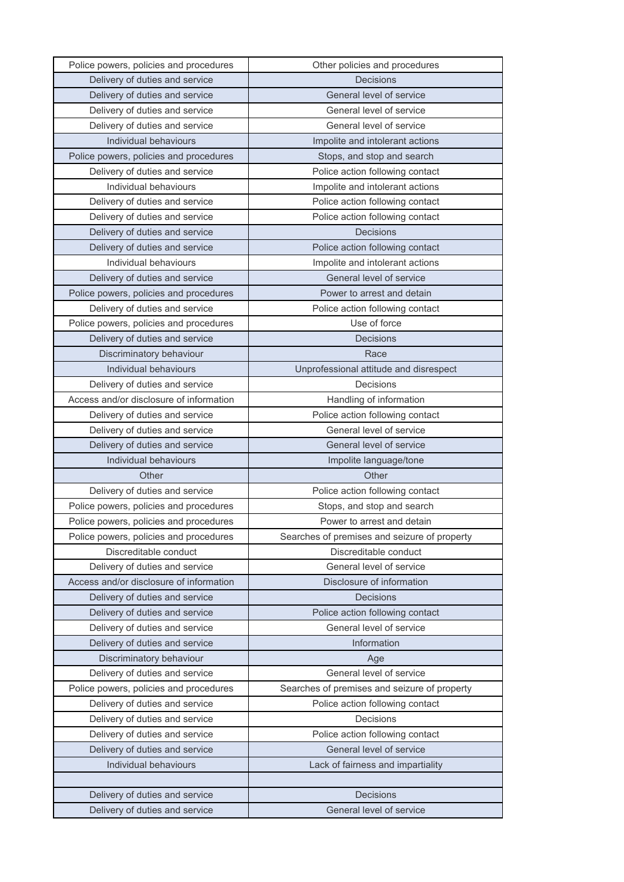| Police powers, policies and procedures  | Other policies and procedures                |
|-----------------------------------------|----------------------------------------------|
| Delivery of duties and service          | <b>Decisions</b>                             |
| Delivery of duties and service          | General level of service                     |
| Delivery of duties and service          | General level of service                     |
| Delivery of duties and service          | General level of service                     |
| Individual behaviours                   | Impolite and intolerant actions              |
| Police powers, policies and procedures  | Stops, and stop and search                   |
| Delivery of duties and service          | Police action following contact              |
| Individual behaviours                   | Impolite and intolerant actions              |
| Delivery of duties and service          | Police action following contact              |
| Delivery of duties and service          | Police action following contact              |
| Delivery of duties and service          | <b>Decisions</b>                             |
| Delivery of duties and service          | Police action following contact              |
| Individual behaviours                   | Impolite and intolerant actions              |
| Delivery of duties and service          | General level of service                     |
| Police powers, policies and procedures  | Power to arrest and detain                   |
| Delivery of duties and service          | Police action following contact              |
| Police powers, policies and procedures  | Use of force                                 |
| Delivery of duties and service          | Decisions                                    |
| Discriminatory behaviour                | Race                                         |
| Individual behaviours                   | Unprofessional attitude and disrespect       |
| Delivery of duties and service          | Decisions                                    |
| Access and/or disclosure of information | Handling of information                      |
| Delivery of duties and service          | Police action following contact              |
| Delivery of duties and service          | General level of service                     |
|                                         |                                              |
| Delivery of duties and service          | General level of service                     |
| Individual behaviours                   | Impolite language/tone                       |
| Other                                   | Other                                        |
| Delivery of duties and service          | Police action following contact              |
| Police powers, policies and procedures  | Stops, and stop and search                   |
| Police powers, policies and procedures  | Power to arrest and detain                   |
| Police powers, policies and procedures  | Searches of premises and seizure of property |
| Discreditable conduct                   | Discreditable conduct                        |
| Delivery of duties and service          | General level of service                     |
| Access and/or disclosure of information | Disclosure of information                    |
| Delivery of duties and service          | Decisions                                    |
| Delivery of duties and service          | Police action following contact              |
| Delivery of duties and service          | General level of service                     |
| Delivery of duties and service          | Information                                  |
| Discriminatory behaviour                | Age                                          |
| Delivery of duties and service          | General level of service                     |
| Police powers, policies and procedures  | Searches of premises and seizure of property |
| Delivery of duties and service          | Police action following contact              |
| Delivery of duties and service          | Decisions                                    |
| Delivery of duties and service          | Police action following contact              |
| Delivery of duties and service          | General level of service                     |
| Individual behaviours                   | Lack of fairness and impartiality            |
|                                         |                                              |
| Delivery of duties and service          | <b>Decisions</b>                             |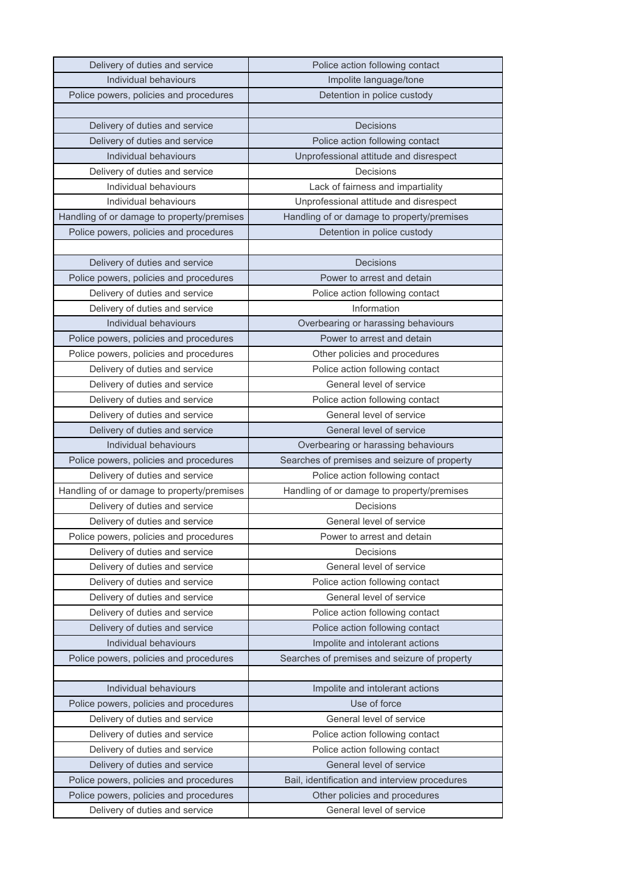| Delivery of duties and service                                           | Police action following contact                           |
|--------------------------------------------------------------------------|-----------------------------------------------------------|
| Individual behaviours                                                    | Impolite language/tone                                    |
| Police powers, policies and procedures                                   | Detention in police custody                               |
|                                                                          |                                                           |
| Delivery of duties and service                                           | <b>Decisions</b>                                          |
| Delivery of duties and service                                           | Police action following contact                           |
| Individual behaviours                                                    | Unprofessional attitude and disrespect                    |
| Delivery of duties and service                                           | Decisions                                                 |
| Individual behaviours                                                    | Lack of fairness and impartiality                         |
| Individual behaviours                                                    | Unprofessional attitude and disrespect                    |
| Handling of or damage to property/premises                               | Handling of or damage to property/premises                |
| Police powers, policies and procedures                                   | Detention in police custody                               |
|                                                                          |                                                           |
| Delivery of duties and service                                           | Decisions                                                 |
| Police powers, policies and procedures                                   | Power to arrest and detain                                |
| Delivery of duties and service                                           | Police action following contact                           |
| Delivery of duties and service                                           | Information                                               |
| Individual behaviours                                                    | Overbearing or harassing behaviours                       |
| Police powers, policies and procedures                                   | Power to arrest and detain                                |
| Police powers, policies and procedures                                   | Other policies and procedures                             |
| Delivery of duties and service                                           | Police action following contact                           |
| Delivery of duties and service                                           | General level of service                                  |
| Delivery of duties and service                                           | Police action following contact                           |
| Delivery of duties and service                                           | General level of service                                  |
| Delivery of duties and service                                           | General level of service                                  |
| Individual behaviours                                                    | Overbearing or harassing behaviours                       |
| Police powers, policies and procedures                                   | Searches of premises and seizure of property              |
| Delivery of duties and service                                           | Police action following contact                           |
| Handling of or damage to property/premises                               | Handling of or damage to property/premises                |
|                                                                          |                                                           |
| Delivery of duties and service                                           | Decisions                                                 |
| Delivery of duties and service                                           | General level of service                                  |
| Police powers, policies and procedures                                   | Power to arrest and detain                                |
| Delivery of duties and service                                           | Decisions                                                 |
| Delivery of duties and service                                           | General level of service                                  |
| Delivery of duties and service                                           | Police action following contact                           |
| Delivery of duties and service                                           | General level of service                                  |
| Delivery of duties and service                                           | Police action following contact                           |
| Delivery of duties and service                                           | Police action following contact                           |
| Individual behaviours                                                    | Impolite and intolerant actions                           |
| Police powers, policies and procedures                                   | Searches of premises and seizure of property              |
|                                                                          |                                                           |
| Individual behaviours                                                    | Impolite and intolerant actions                           |
| Police powers, policies and procedures                                   | Use of force                                              |
| Delivery of duties and service                                           | General level of service                                  |
| Delivery of duties and service                                           | Police action following contact                           |
| Delivery of duties and service                                           | Police action following contact                           |
| Delivery of duties and service                                           | General level of service                                  |
| Police powers, policies and procedures                                   | Bail, identification and interview procedures             |
| Police powers, policies and procedures<br>Delivery of duties and service | Other policies and procedures<br>General level of service |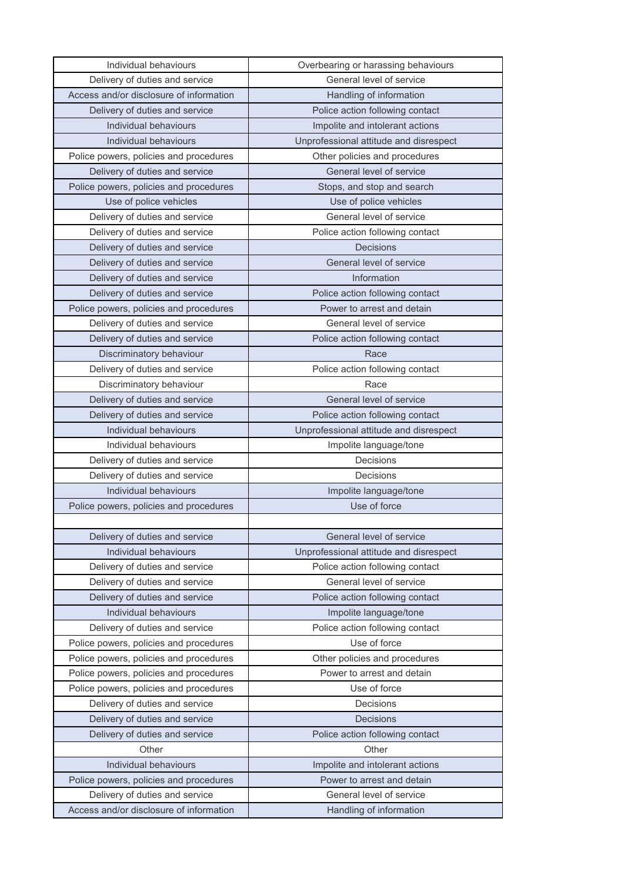| Individual behaviours                   | Overbearing or harassing behaviours    |
|-----------------------------------------|----------------------------------------|
| Delivery of duties and service          | General level of service               |
| Access and/or disclosure of information | Handling of information                |
| Delivery of duties and service          | Police action following contact        |
| Individual behaviours                   | Impolite and intolerant actions        |
| Individual behaviours                   | Unprofessional attitude and disrespect |
| Police powers, policies and procedures  | Other policies and procedures          |
| Delivery of duties and service          | General level of service               |
| Police powers, policies and procedures  | Stops, and stop and search             |
| Use of police vehicles                  | Use of police vehicles                 |
| Delivery of duties and service          | General level of service               |
| Delivery of duties and service          | Police action following contact        |
| Delivery of duties and service          | <b>Decisions</b>                       |
| Delivery of duties and service          | General level of service               |
| Delivery of duties and service          | Information                            |
| Delivery of duties and service          | Police action following contact        |
| Police powers, policies and procedures  | Power to arrest and detain             |
| Delivery of duties and service          | General level of service               |
| Delivery of duties and service          | Police action following contact        |
| Discriminatory behaviour                | Race                                   |
| Delivery of duties and service          | Police action following contact        |
| Discriminatory behaviour                | Race                                   |
| Delivery of duties and service          | General level of service               |
| Delivery of duties and service          | Police action following contact        |
| Individual behaviours                   | Unprofessional attitude and disrespect |
| Individual behaviours                   | Impolite language/tone                 |
| Delivery of duties and service          | Decisions                              |
| Delivery of duties and service          | Decisions                              |
| Individual behaviours                   | Impolite language/tone                 |
| Police powers, policies and procedures  | Use of force                           |
|                                         |                                        |
| Delivery of duties and service          | General level of service               |
| Individual behaviours                   | Unprofessional attitude and disrespect |
| Delivery of duties and service          | Police action following contact        |
| Delivery of duties and service          | General level of service               |
| Delivery of duties and service          | Police action following contact        |
| Individual behaviours                   | Impolite language/tone                 |
| Delivery of duties and service          | Police action following contact        |
| Police powers, policies and procedures  | Use of force                           |
| Police powers, policies and procedures  | Other policies and procedures          |
| Police powers, policies and procedures  | Power to arrest and detain             |
| Police powers, policies and procedures  | Use of force                           |
| Delivery of duties and service          | Decisions                              |
| Delivery of duties and service          | <b>Decisions</b>                       |
| Delivery of duties and service          | Police action following contact        |
| Other                                   | Other                                  |
| Individual behaviours                   | Impolite and intolerant actions        |
| Police powers, policies and procedures  | Power to arrest and detain             |
| Delivery of duties and service          | General level of service               |
| Access and/or disclosure of information | Handling of information                |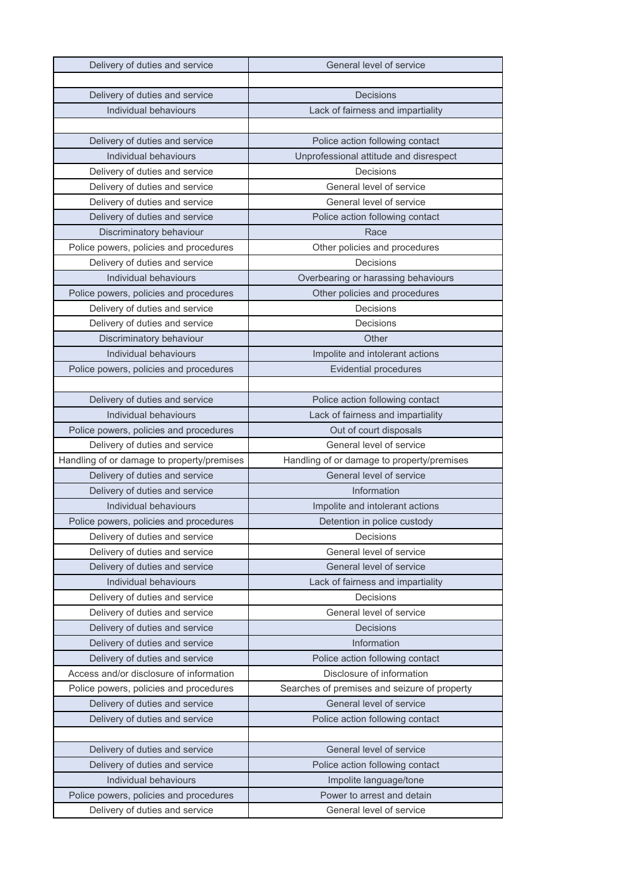| Delivery of duties and service             | General level of service                     |
|--------------------------------------------|----------------------------------------------|
|                                            |                                              |
| Delivery of duties and service             | <b>Decisions</b>                             |
| Individual behaviours                      | Lack of fairness and impartiality            |
|                                            |                                              |
| Delivery of duties and service             | Police action following contact              |
| Individual behaviours                      | Unprofessional attitude and disrespect       |
| Delivery of duties and service             | Decisions                                    |
| Delivery of duties and service             | General level of service                     |
| Delivery of duties and service             | General level of service                     |
| Delivery of duties and service             | Police action following contact              |
| Discriminatory behaviour                   | Race                                         |
| Police powers, policies and procedures     | Other policies and procedures                |
| Delivery of duties and service             | Decisions                                    |
| Individual behaviours                      | Overbearing or harassing behaviours          |
| Police powers, policies and procedures     | Other policies and procedures                |
| Delivery of duties and service             | Decisions                                    |
| Delivery of duties and service             | Decisions                                    |
| Discriminatory behaviour                   | Other                                        |
| Individual behaviours                      | Impolite and intolerant actions              |
| Police powers, policies and procedures     | <b>Evidential procedures</b>                 |
|                                            |                                              |
| Delivery of duties and service             | Police action following contact              |
| Individual behaviours                      | Lack of fairness and impartiality            |
| Police powers, policies and procedures     | Out of court disposals                       |
| Delivery of duties and service             | General level of service                     |
| Handling of or damage to property/premises | Handling of or damage to property/premises   |
| Delivery of duties and service             | General level of service                     |
| Delivery of duties and service             | Information                                  |
| Individual behaviours                      | Impolite and intolerant actions              |
| Police powers, policies and procedures     | Detention in police custody                  |
| Delivery of duties and service             | Decisions                                    |
| Delivery of duties and service             | General level of service                     |
| Delivery of duties and service             | General level of service                     |
| Individual behaviours                      | Lack of fairness and impartiality            |
| Delivery of duties and service             | Decisions                                    |
| Delivery of duties and service             | General level of service                     |
| Delivery of duties and service             | <b>Decisions</b>                             |
| Delivery of duties and service             | Information                                  |
| Delivery of duties and service             | Police action following contact              |
| Access and/or disclosure of information    | Disclosure of information                    |
| Police powers, policies and procedures     | Searches of premises and seizure of property |
| Delivery of duties and service             | General level of service                     |
| Delivery of duties and service             | Police action following contact              |
|                                            |                                              |
| Delivery of duties and service             | General level of service                     |
| Delivery of duties and service             | Police action following contact              |
| Individual behaviours                      | Impolite language/tone                       |
| Police powers, policies and procedures     | Power to arrest and detain                   |
| Delivery of duties and service             | General level of service                     |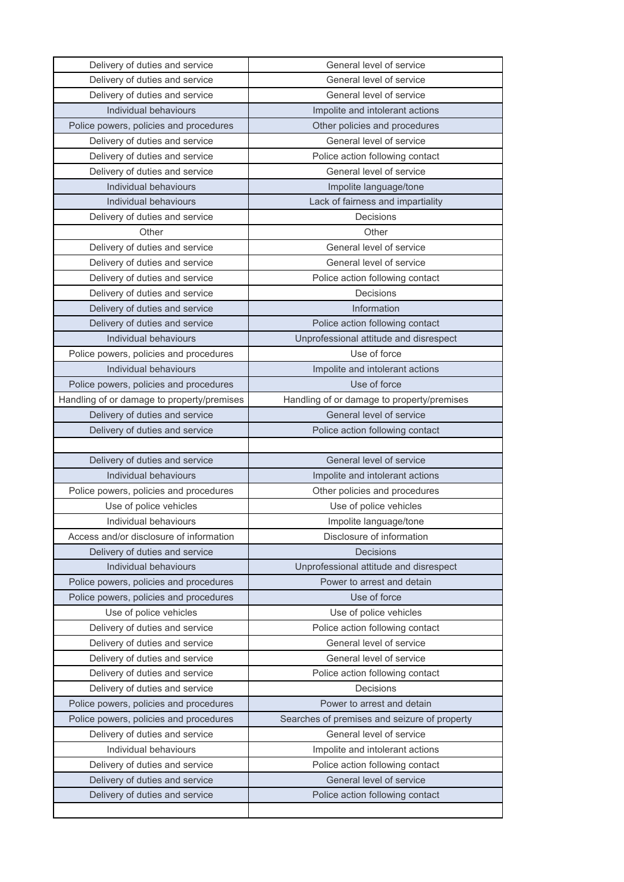| Delivery of duties and service             | General level of service                     |
|--------------------------------------------|----------------------------------------------|
| Delivery of duties and service             | General level of service                     |
| Delivery of duties and service             | General level of service                     |
| Individual behaviours                      | Impolite and intolerant actions              |
| Police powers, policies and procedures     | Other policies and procedures                |
| Delivery of duties and service             | General level of service                     |
| Delivery of duties and service             | Police action following contact              |
| Delivery of duties and service             | General level of service                     |
| Individual behaviours                      | Impolite language/tone                       |
| Individual behaviours                      | Lack of fairness and impartiality            |
| Delivery of duties and service             | Decisions                                    |
| Other                                      | Other                                        |
| Delivery of duties and service             | General level of service                     |
| Delivery of duties and service             | General level of service                     |
| Delivery of duties and service             | Police action following contact              |
| Delivery of duties and service             | Decisions                                    |
| Delivery of duties and service             | Information                                  |
| Delivery of duties and service             | Police action following contact              |
| Individual behaviours                      | Unprofessional attitude and disrespect       |
| Police powers, policies and procedures     | Use of force                                 |
| Individual behaviours                      | Impolite and intolerant actions              |
| Police powers, policies and procedures     | Use of force                                 |
| Handling of or damage to property/premises | Handling of or damage to property/premises   |
| Delivery of duties and service             | General level of service                     |
| Delivery of duties and service             | Police action following contact              |
|                                            |                                              |
| Delivery of duties and service             | General level of service                     |
| Individual behaviours                      | Impolite and intolerant actions              |
| Police powers, policies and procedures     | Other policies and procedures                |
| Use of police vehicles                     | Use of police vehicles                       |
| Individual behaviours                      | Impolite language/tone                       |
| Access and/or disclosure of information    | Disclosure of information                    |
| Delivery of duties and service             | <b>Decisions</b>                             |
| Individual behaviours                      | Unprofessional attitude and disrespect       |
| Police powers, policies and procedures     | Power to arrest and detain                   |
| Police powers, policies and procedures     | Use of force                                 |
| Use of police vehicles                     | Use of police vehicles                       |
| Delivery of duties and service             | Police action following contact              |
| Delivery of duties and service             | General level of service                     |
| Delivery of duties and service             | General level of service                     |
| Delivery of duties and service             | Police action following contact              |
| Delivery of duties and service             |                                              |
|                                            | Decisions                                    |
| Police powers, policies and procedures     | Power to arrest and detain                   |
| Police powers, policies and procedures     | Searches of premises and seizure of property |
| Delivery of duties and service             | General level of service                     |
| Individual behaviours                      | Impolite and intolerant actions              |
| Delivery of duties and service             | Police action following contact              |
| Delivery of duties and service             | General level of service                     |
| Delivery of duties and service             | Police action following contact              |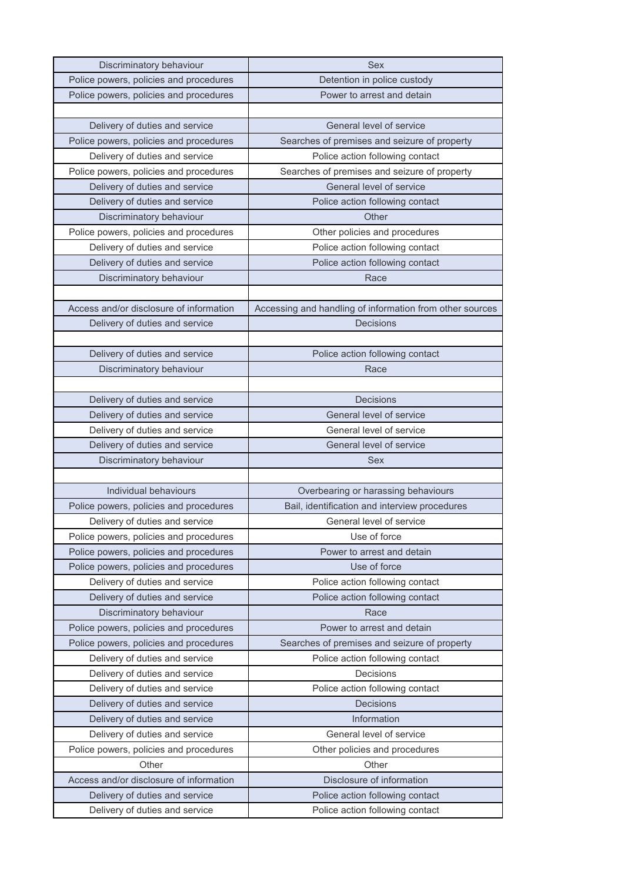| Discriminatory behaviour                | <b>Sex</b>                                               |
|-----------------------------------------|----------------------------------------------------------|
| Police powers, policies and procedures  | Detention in police custody                              |
| Police powers, policies and procedures  | Power to arrest and detain                               |
|                                         |                                                          |
| Delivery of duties and service          | General level of service                                 |
| Police powers, policies and procedures  | Searches of premises and seizure of property             |
| Delivery of duties and service          | Police action following contact                          |
| Police powers, policies and procedures  | Searches of premises and seizure of property             |
| Delivery of duties and service          | General level of service                                 |
| Delivery of duties and service          | Police action following contact                          |
| Discriminatory behaviour                | Other                                                    |
| Police powers, policies and procedures  | Other policies and procedures                            |
| Delivery of duties and service          | Police action following contact                          |
| Delivery of duties and service          | Police action following contact                          |
| Discriminatory behaviour                | Race                                                     |
|                                         |                                                          |
| Access and/or disclosure of information | Accessing and handling of information from other sources |
| Delivery of duties and service          | <b>Decisions</b>                                         |
|                                         |                                                          |
| Delivery of duties and service          | Police action following contact                          |
| Discriminatory behaviour                | Race                                                     |
|                                         |                                                          |
| Delivery of duties and service          | <b>Decisions</b>                                         |
| Delivery of duties and service          | General level of service                                 |
| Delivery of duties and service          | General level of service                                 |
| Delivery of duties and service          | General level of service                                 |
| Discriminatory behaviour                | Sex                                                      |
|                                         |                                                          |
| Individual behaviours                   | Overbearing or harassing behaviours                      |
| Police powers, policies and procedures  | Bail, identification and interview procedures            |
| Delivery of duties and service          | General level of service                                 |
| Police powers, policies and procedures  | Use of force                                             |
| Police powers, policies and procedures  | Power to arrest and detain                               |
| Police powers, policies and procedures  | Use of force                                             |
| Delivery of duties and service          | Police action following contact                          |
| Delivery of duties and service          | Police action following contact                          |
| Discriminatory behaviour                | Race                                                     |
| Police powers, policies and procedures  | Power to arrest and detain                               |
| Police powers, policies and procedures  | Searches of premises and seizure of property             |
| Delivery of duties and service          | Police action following contact                          |
| Delivery of duties and service          | Decisions                                                |
| Delivery of duties and service          | Police action following contact                          |
| Delivery of duties and service          | Decisions                                                |
| Delivery of duties and service          | Information                                              |
| Delivery of duties and service          | General level of service                                 |
| Police powers, policies and procedures  | Other policies and procedures                            |
| Other                                   | Other                                                    |
| Access and/or disclosure of information | Disclosure of information                                |
| Delivery of duties and service          | Police action following contact                          |
| Delivery of duties and service          | Police action following contact                          |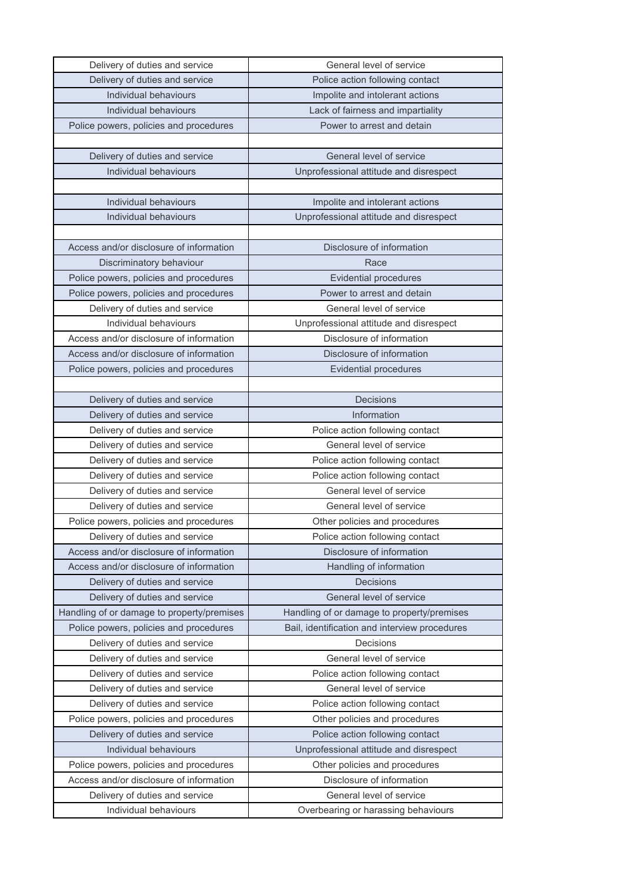| Delivery of duties and service                          | General level of service                                        |
|---------------------------------------------------------|-----------------------------------------------------------------|
| Delivery of duties and service                          | Police action following contact                                 |
| Individual behaviours                                   | Impolite and intolerant actions                                 |
| Individual behaviours                                   | Lack of fairness and impartiality                               |
| Police powers, policies and procedures                  | Power to arrest and detain                                      |
|                                                         |                                                                 |
| Delivery of duties and service                          | General level of service                                        |
| Individual behaviours                                   | Unprofessional attitude and disrespect                          |
|                                                         |                                                                 |
| Individual behaviours                                   | Impolite and intolerant actions                                 |
| Individual behaviours                                   | Unprofessional attitude and disrespect                          |
|                                                         |                                                                 |
| Access and/or disclosure of information                 | Disclosure of information                                       |
| Discriminatory behaviour                                | Race                                                            |
| Police powers, policies and procedures                  | <b>Evidential procedures</b>                                    |
| Police powers, policies and procedures                  | Power to arrest and detain                                      |
| Delivery of duties and service                          | General level of service                                        |
| Individual behaviours                                   | Unprofessional attitude and disrespect                          |
| Access and/or disclosure of information                 | Disclosure of information                                       |
| Access and/or disclosure of information                 | Disclosure of information                                       |
| Police powers, policies and procedures                  | <b>Evidential procedures</b>                                    |
|                                                         |                                                                 |
| Delivery of duties and service                          | <b>Decisions</b>                                                |
| Delivery of duties and service                          | Information                                                     |
| Delivery of duties and service                          | Police action following contact                                 |
| Delivery of duties and service                          | General level of service                                        |
| Delivery of duties and service                          | Police action following contact                                 |
| Delivery of duties and service                          | Police action following contact                                 |
| Delivery of duties and service                          | General level of service                                        |
| Delivery of duties and service                          | General level of service                                        |
| Police powers, policies and procedures                  | Other policies and procedures                                   |
| Delivery of duties and service                          | Police action following contact                                 |
| Access and/or disclosure of information                 | Disclosure of information                                       |
| Access and/or disclosure of information                 | Handling of information                                         |
| Delivery of duties and service                          | <b>Decisions</b>                                                |
| Delivery of duties and service                          | General level of service                                        |
| Handling of or damage to property/premises              | Handling of or damage to property/premises                      |
| Police powers, policies and procedures                  | Bail, identification and interview procedures                   |
| Delivery of duties and service                          | Decisions                                                       |
| Delivery of duties and service                          | General level of service                                        |
| Delivery of duties and service                          | Police action following contact                                 |
| Delivery of duties and service                          | General level of service                                        |
| Delivery of duties and service                          | Police action following contact                                 |
| Police powers, policies and procedures                  | Other policies and procedures                                   |
| Delivery of duties and service                          | Police action following contact                                 |
| Individual behaviours                                   | Unprofessional attitude and disrespect                          |
| Police powers, policies and procedures                  | Other policies and procedures                                   |
| Access and/or disclosure of information                 | Disclosure of information                                       |
|                                                         |                                                                 |
| Delivery of duties and service<br>Individual behaviours | General level of service<br>Overbearing or harassing behaviours |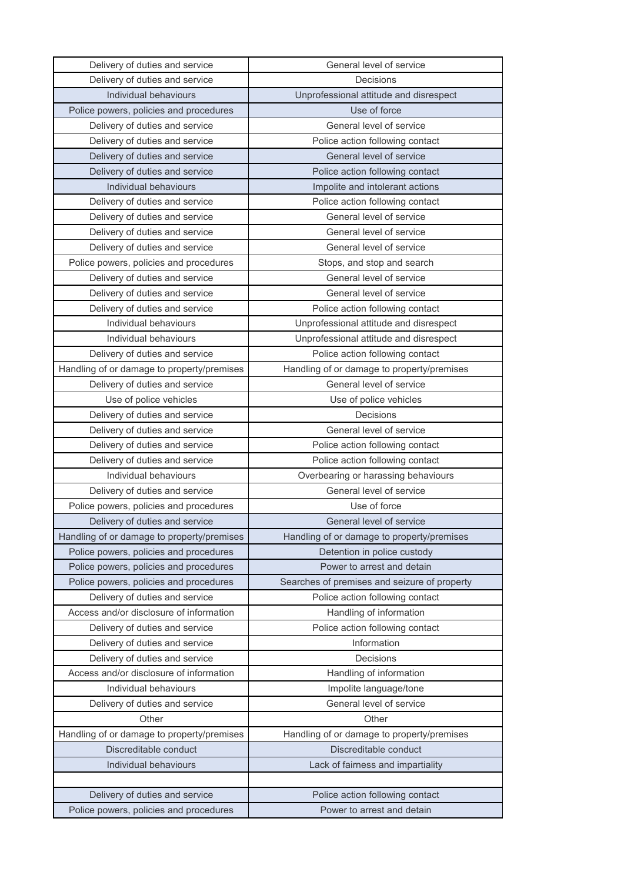| Delivery of duties and service             | General level of service                     |
|--------------------------------------------|----------------------------------------------|
| Delivery of duties and service             | Decisions                                    |
| Individual behaviours                      | Unprofessional attitude and disrespect       |
| Police powers, policies and procedures     | Use of force                                 |
| Delivery of duties and service             | General level of service                     |
| Delivery of duties and service             | Police action following contact              |
| Delivery of duties and service             | General level of service                     |
| Delivery of duties and service             | Police action following contact              |
| Individual behaviours                      | Impolite and intolerant actions              |
| Delivery of duties and service             | Police action following contact              |
| Delivery of duties and service             | General level of service                     |
| Delivery of duties and service             | General level of service                     |
| Delivery of duties and service             | General level of service                     |
| Police powers, policies and procedures     | Stops, and stop and search                   |
| Delivery of duties and service             | General level of service                     |
| Delivery of duties and service             | General level of service                     |
| Delivery of duties and service             | Police action following contact              |
| Individual behaviours                      | Unprofessional attitude and disrespect       |
| Individual behaviours                      | Unprofessional attitude and disrespect       |
| Delivery of duties and service             | Police action following contact              |
| Handling of or damage to property/premises | Handling of or damage to property/premises   |
| Delivery of duties and service             | General level of service                     |
| Use of police vehicles                     | Use of police vehicles                       |
| Delivery of duties and service             | Decisions                                    |
| Delivery of duties and service             | General level of service                     |
| Delivery of duties and service             | Police action following contact              |
| Delivery of duties and service             | Police action following contact              |
| Individual behaviours                      | Overbearing or harassing behaviours          |
| Delivery of duties and service             | General level of service                     |
| Police powers, policies and procedures     | Use of force                                 |
| Delivery of duties and service             | General level of service                     |
| Handling of or damage to property/premises | Handling of or damage to property/premises   |
| Police powers, policies and procedures     | Detention in police custody                  |
| Police powers, policies and procedures     | Power to arrest and detain                   |
| Police powers, policies and procedures     | Searches of premises and seizure of property |
| Delivery of duties and service             | Police action following contact              |
| Access and/or disclosure of information    | Handling of information                      |
| Delivery of duties and service             | Police action following contact              |
| Delivery of duties and service             | Information                                  |
| Delivery of duties and service             | Decisions                                    |
| Access and/or disclosure of information    | Handling of information                      |
| Individual behaviours                      | Impolite language/tone                       |
| Delivery of duties and service             | General level of service                     |
| Other                                      | Other                                        |
| Handling of or damage to property/premises | Handling of or damage to property/premises   |
| Discreditable conduct                      | Discreditable conduct                        |
| Individual behaviours                      | Lack of fairness and impartiality            |
|                                            |                                              |
| Delivery of duties and service             | Police action following contact              |
| Police powers, policies and procedures     | Power to arrest and detain                   |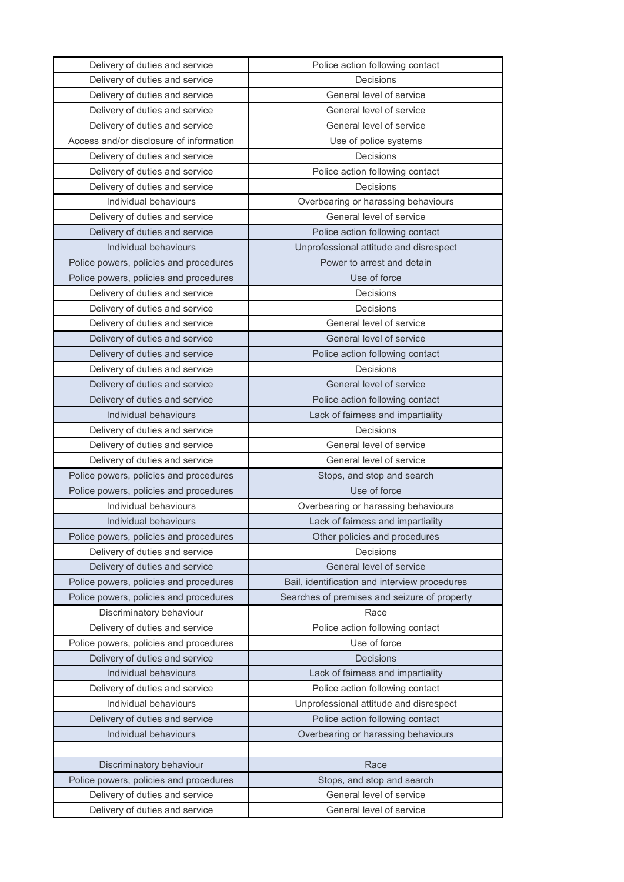| Delivery of duties and service          | Police action following contact               |
|-----------------------------------------|-----------------------------------------------|
| Delivery of duties and service          | Decisions                                     |
| Delivery of duties and service          | General level of service                      |
| Delivery of duties and service          | General level of service                      |
| Delivery of duties and service          | General level of service                      |
| Access and/or disclosure of information | Use of police systems                         |
| Delivery of duties and service          | Decisions                                     |
| Delivery of duties and service          | Police action following contact               |
| Delivery of duties and service          | Decisions                                     |
| Individual behaviours                   | Overbearing or harassing behaviours           |
| Delivery of duties and service          | General level of service                      |
| Delivery of duties and service          | Police action following contact               |
| Individual behaviours                   | Unprofessional attitude and disrespect        |
| Police powers, policies and procedures  | Power to arrest and detain                    |
| Police powers, policies and procedures  | Use of force                                  |
| Delivery of duties and service          | Decisions                                     |
| Delivery of duties and service          | Decisions                                     |
| Delivery of duties and service          | General level of service                      |
| Delivery of duties and service          | General level of service                      |
| Delivery of duties and service          | Police action following contact               |
| Delivery of duties and service          | Decisions                                     |
| Delivery of duties and service          | General level of service                      |
| Delivery of duties and service          | Police action following contact               |
| Individual behaviours                   | Lack of fairness and impartiality             |
| Delivery of duties and service          | Decisions                                     |
| Delivery of duties and service          | General level of service                      |
| Delivery of duties and service          | General level of service                      |
| Police powers, policies and procedures  | Stops, and stop and search                    |
| Police powers, policies and procedures  | Use of force                                  |
| Individual behaviours                   | Overbearing or harassing behaviours           |
| Individual behaviours                   | Lack of fairness and impartiality             |
| Police powers, policies and procedures  | Other policies and procedures                 |
| Delivery of duties and service          | Decisions                                     |
| Delivery of duties and service          | General level of service                      |
| Police powers, policies and procedures  | Bail, identification and interview procedures |
|                                         |                                               |
| Police powers, policies and procedures  | Searches of premises and seizure of property  |
| Discriminatory behaviour                | Race                                          |
| Delivery of duties and service          | Police action following contact               |
| Police powers, policies and procedures  | Use of force                                  |
| Delivery of duties and service          | Decisions                                     |
| Individual behaviours                   | Lack of fairness and impartiality             |
| Delivery of duties and service          | Police action following contact               |
| Individual behaviours                   | Unprofessional attitude and disrespect        |
| Delivery of duties and service          | Police action following contact               |
| Individual behaviours                   | Overbearing or harassing behaviours           |
|                                         |                                               |
| Discriminatory behaviour                | Race                                          |
| Police powers, policies and procedures  | Stops, and stop and search                    |
| Delivery of duties and service          | General level of service                      |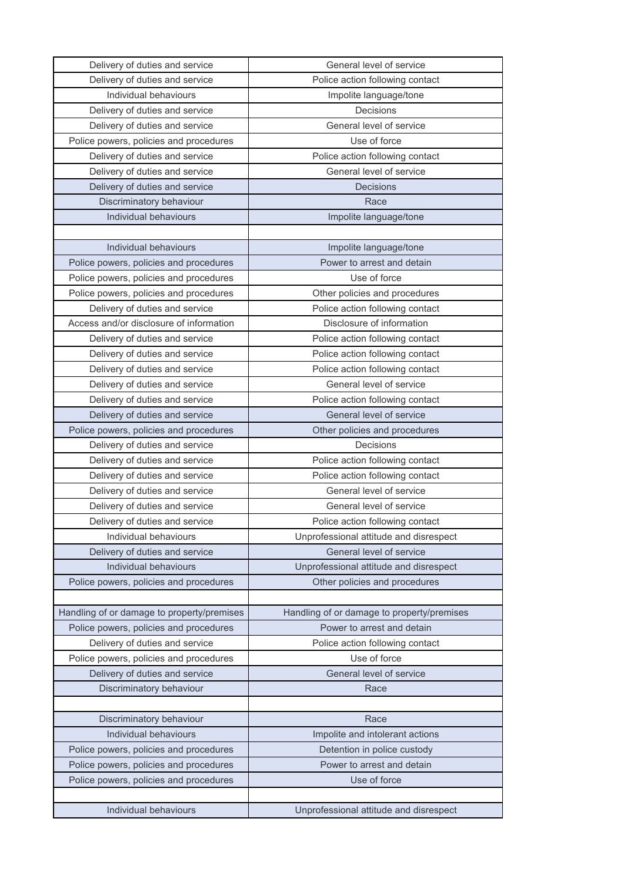| Delivery of duties and service             | General level of service                   |
|--------------------------------------------|--------------------------------------------|
| Delivery of duties and service             | Police action following contact            |
| Individual behaviours                      | Impolite language/tone                     |
| Delivery of duties and service             | Decisions                                  |
| Delivery of duties and service             | General level of service                   |
| Police powers, policies and procedures     | Use of force                               |
| Delivery of duties and service             | Police action following contact            |
| Delivery of duties and service             | General level of service                   |
| Delivery of duties and service             | Decisions                                  |
| Discriminatory behaviour                   | Race                                       |
| Individual behaviours                      | Impolite language/tone                     |
|                                            |                                            |
| Individual behaviours                      | Impolite language/tone                     |
| Police powers, policies and procedures     | Power to arrest and detain                 |
| Police powers, policies and procedures     | Use of force                               |
| Police powers, policies and procedures     | Other policies and procedures              |
| Delivery of duties and service             | Police action following contact            |
| Access and/or disclosure of information    | Disclosure of information                  |
| Delivery of duties and service             | Police action following contact            |
| Delivery of duties and service             | Police action following contact            |
| Delivery of duties and service             | Police action following contact            |
| Delivery of duties and service             | General level of service                   |
| Delivery of duties and service             | Police action following contact            |
| Delivery of duties and service             | General level of service                   |
| Police powers, policies and procedures     | Other policies and procedures              |
| Delivery of duties and service             | Decisions                                  |
| Delivery of duties and service             | Police action following contact            |
| Delivery of duties and service             | Police action following contact            |
| Delivery of duties and service             | General level of service                   |
| Delivery of duties and service             | General level of service                   |
| Delivery of duties and service             | Police action following contact            |
| Individual behaviours                      | Unprofessional attitude and disrespect     |
| Delivery of duties and service             | General level of service                   |
| Individual behaviours                      | Unprofessional attitude and disrespect     |
| Police powers, policies and procedures     | Other policies and procedures              |
|                                            |                                            |
| Handling of or damage to property/premises | Handling of or damage to property/premises |
| Police powers, policies and procedures     | Power to arrest and detain                 |
| Delivery of duties and service             | Police action following contact            |
| Police powers, policies and procedures     | Use of force                               |
| Delivery of duties and service             | General level of service                   |
| Discriminatory behaviour                   | Race                                       |
|                                            |                                            |
| Discriminatory behaviour                   | Race                                       |
| Individual behaviours                      | Impolite and intolerant actions            |
| Police powers, policies and procedures     | Detention in police custody                |
| Police powers, policies and procedures     | Power to arrest and detain                 |
| Police powers, policies and procedures     | Use of force                               |
|                                            |                                            |
| Individual behaviours                      | Unprofessional attitude and disrespect     |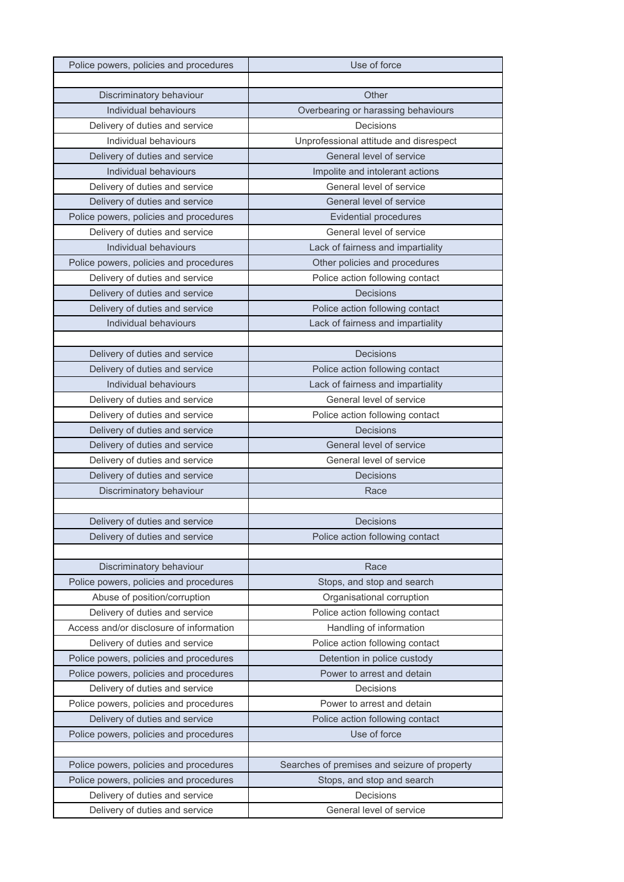| Police powers, policies and procedures  | Use of force                                 |
|-----------------------------------------|----------------------------------------------|
|                                         |                                              |
| Discriminatory behaviour                | Other                                        |
| Individual behaviours                   | Overbearing or harassing behaviours          |
| Delivery of duties and service          | Decisions                                    |
| Individual behaviours                   | Unprofessional attitude and disrespect       |
| Delivery of duties and service          | General level of service                     |
| Individual behaviours                   | Impolite and intolerant actions              |
| Delivery of duties and service          | General level of service                     |
| Delivery of duties and service          | General level of service                     |
| Police powers, policies and procedures  | <b>Evidential procedures</b>                 |
| Delivery of duties and service          | General level of service                     |
| Individual behaviours                   | Lack of fairness and impartiality            |
| Police powers, policies and procedures  | Other policies and procedures                |
| Delivery of duties and service          | Police action following contact              |
| Delivery of duties and service          | Decisions                                    |
| Delivery of duties and service          | Police action following contact              |
| Individual behaviours                   | Lack of fairness and impartiality            |
|                                         |                                              |
| Delivery of duties and service          | Decisions                                    |
| Delivery of duties and service          | Police action following contact              |
| Individual behaviours                   | Lack of fairness and impartiality            |
| Delivery of duties and service          | General level of service                     |
| Delivery of duties and service          | Police action following contact              |
| Delivery of duties and service          | <b>Decisions</b>                             |
| Delivery of duties and service          | General level of service                     |
| Delivery of duties and service          | General level of service                     |
| Delivery of duties and service          | <b>Decisions</b>                             |
| Discriminatory behaviour                | Race                                         |
|                                         |                                              |
| Delivery of duties and service          | Decisions                                    |
| Delivery of duties and service          | Police action following contact              |
|                                         |                                              |
| Discriminatory behaviour                | Race                                         |
| Police powers, policies and procedures  | Stops, and stop and search                   |
| Abuse of position/corruption            | Organisational corruption                    |
| Delivery of duties and service          | Police action following contact              |
| Access and/or disclosure of information | Handling of information                      |
| Delivery of duties and service          | Police action following contact              |
| Police powers, policies and procedures  | Detention in police custody                  |
| Police powers, policies and procedures  | Power to arrest and detain                   |
| Delivery of duties and service          | Decisions                                    |
| Police powers, policies and procedures  | Power to arrest and detain                   |
| Delivery of duties and service          | Police action following contact              |
| Police powers, policies and procedures  | Use of force                                 |
|                                         |                                              |
| Police powers, policies and procedures  | Searches of premises and seizure of property |
| Police powers, policies and procedures  | Stops, and stop and search                   |
| Delivery of duties and service          | Decisions                                    |
| Delivery of duties and service          | General level of service                     |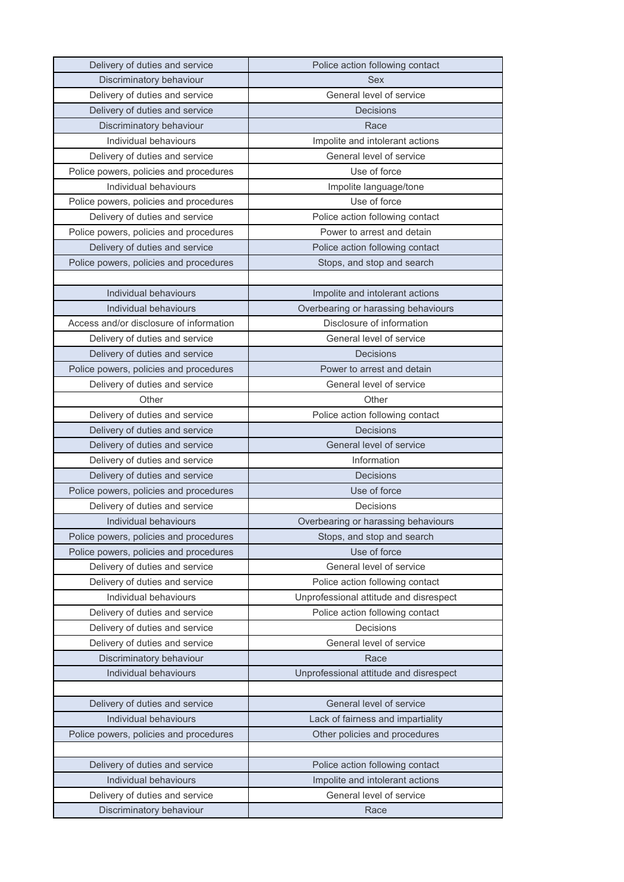| Delivery of duties and service          | Police action following contact        |
|-----------------------------------------|----------------------------------------|
| Discriminatory behaviour                | <b>Sex</b>                             |
| Delivery of duties and service          | General level of service               |
| Delivery of duties and service          | <b>Decisions</b>                       |
| Discriminatory behaviour                | Race                                   |
| Individual behaviours                   | Impolite and intolerant actions        |
| Delivery of duties and service          | General level of service               |
| Police powers, policies and procedures  | Use of force                           |
| Individual behaviours                   | Impolite language/tone                 |
| Police powers, policies and procedures  | Use of force                           |
| Delivery of duties and service          | Police action following contact        |
| Police powers, policies and procedures  | Power to arrest and detain             |
| Delivery of duties and service          | Police action following contact        |
| Police powers, policies and procedures  | Stops, and stop and search             |
|                                         |                                        |
| Individual behaviours                   | Impolite and intolerant actions        |
| Individual behaviours                   | Overbearing or harassing behaviours    |
| Access and/or disclosure of information | Disclosure of information              |
| Delivery of duties and service          | General level of service               |
| Delivery of duties and service          | Decisions                              |
| Police powers, policies and procedures  | Power to arrest and detain             |
| Delivery of duties and service          | General level of service               |
| Other                                   | Other                                  |
| Delivery of duties and service          | Police action following contact        |
| Delivery of duties and service          | <b>Decisions</b>                       |
| Delivery of duties and service          | General level of service               |
| Delivery of duties and service          | Information                            |
| Delivery of duties and service          | <b>Decisions</b>                       |
| Police powers, policies and procedures  | Use of force                           |
| Delivery of duties and service          | Decisions                              |
| Individual behaviours                   | Overbearing or harassing behaviours    |
| Police powers, policies and procedures  | Stops, and stop and search             |
| Police powers, policies and procedures  | Use of force                           |
| Delivery of duties and service          | General level of service               |
| Delivery of duties and service          | Police action following contact        |
| Individual behaviours                   | Unprofessional attitude and disrespect |
| Delivery of duties and service          | Police action following contact        |
| Delivery of duties and service          | Decisions                              |
| Delivery of duties and service          | General level of service               |
| Discriminatory behaviour                | Race                                   |
| Individual behaviours                   | Unprofessional attitude and disrespect |
|                                         |                                        |
| Delivery of duties and service          | General level of service               |
| Individual behaviours                   | Lack of fairness and impartiality      |
| Police powers, policies and procedures  | Other policies and procedures          |
|                                         |                                        |
| Delivery of duties and service          | Police action following contact        |
| Individual behaviours                   | Impolite and intolerant actions        |
| Delivery of duties and service          | General level of service               |
|                                         |                                        |
| Discriminatory behaviour                | Race                                   |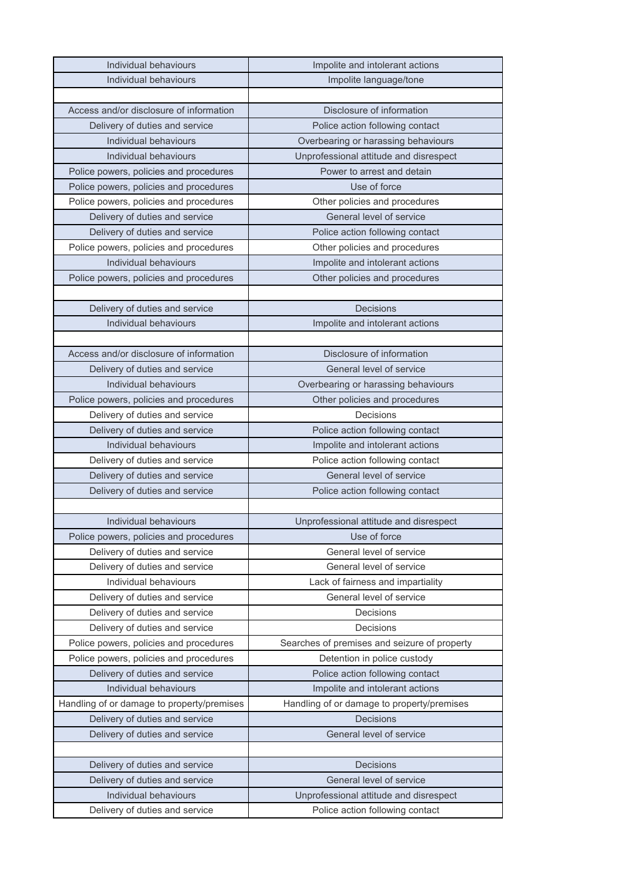| Individual behaviours                      | Impolite and intolerant actions              |
|--------------------------------------------|----------------------------------------------|
| Individual behaviours                      | Impolite language/tone                       |
|                                            |                                              |
| Access and/or disclosure of information    | Disclosure of information                    |
| Delivery of duties and service             | Police action following contact              |
| Individual behaviours                      | Overbearing or harassing behaviours          |
| Individual behaviours                      | Unprofessional attitude and disrespect       |
| Police powers, policies and procedures     | Power to arrest and detain                   |
| Police powers, policies and procedures     | Use of force                                 |
| Police powers, policies and procedures     | Other policies and procedures                |
| Delivery of duties and service             | General level of service                     |
| Delivery of duties and service             | Police action following contact              |
| Police powers, policies and procedures     | Other policies and procedures                |
| Individual behaviours                      | Impolite and intolerant actions              |
| Police powers, policies and procedures     | Other policies and procedures                |
|                                            |                                              |
| Delivery of duties and service             | Decisions                                    |
| Individual behaviours                      | Impolite and intolerant actions              |
|                                            |                                              |
| Access and/or disclosure of information    | Disclosure of information                    |
| Delivery of duties and service             | General level of service                     |
| Individual behaviours                      | Overbearing or harassing behaviours          |
| Police powers, policies and procedures     | Other policies and procedures                |
| Delivery of duties and service             | Decisions                                    |
| Delivery of duties and service             | Police action following contact              |
| Individual behaviours                      | Impolite and intolerant actions              |
| Delivery of duties and service             | Police action following contact              |
| Delivery of duties and service             | General level of service                     |
| Delivery of duties and service             | Police action following contact              |
|                                            |                                              |
| Individual behaviours                      | Unprofessional attitude and disrespect       |
| Police powers, policies and procedures     | Use of force                                 |
| Delivery of duties and service             | General level of service                     |
| Delivery of duties and service             | General level of service                     |
| Individual behaviours                      | Lack of fairness and impartiality            |
| Delivery of duties and service             | General level of service                     |
| Delivery of duties and service             | Decisions                                    |
| Delivery of duties and service             | Decisions                                    |
| Police powers, policies and procedures     | Searches of premises and seizure of property |
| Police powers, policies and procedures     | Detention in police custody                  |
| Delivery of duties and service             | Police action following contact              |
| Individual behaviours                      | Impolite and intolerant actions              |
| Handling of or damage to property/premises | Handling of or damage to property/premises   |
| Delivery of duties and service             | Decisions                                    |
| Delivery of duties and service             | General level of service                     |
|                                            |                                              |
| Delivery of duties and service             | Decisions                                    |
| Delivery of duties and service             | General level of service                     |
| Individual behaviours                      | Unprofessional attitude and disrespect       |
| Delivery of duties and service             | Police action following contact              |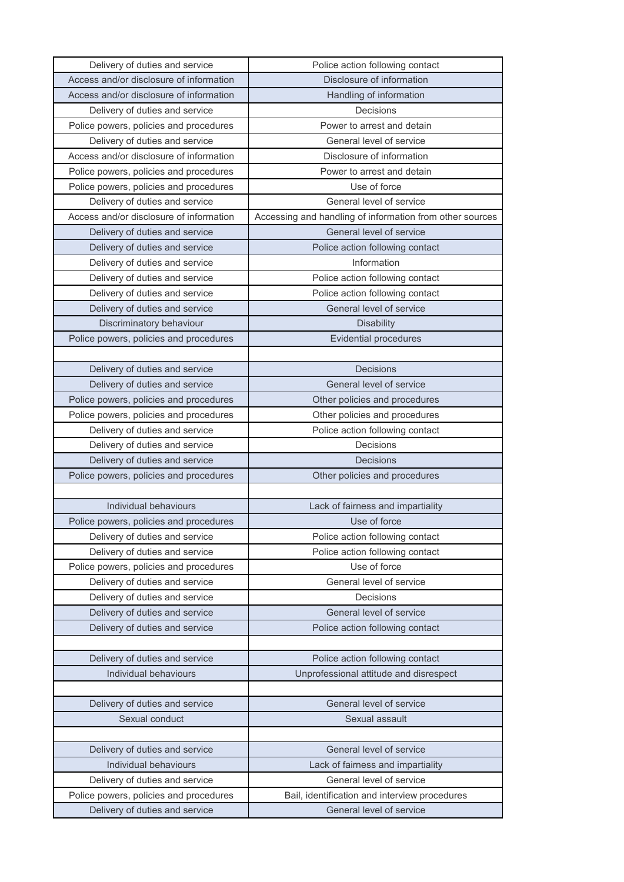| Delivery of duties and service                                           | Police action following contact                                           |
|--------------------------------------------------------------------------|---------------------------------------------------------------------------|
| Access and/or disclosure of information                                  | Disclosure of information                                                 |
| Access and/or disclosure of information                                  | Handling of information                                                   |
| Delivery of duties and service                                           | Decisions                                                                 |
| Police powers, policies and procedures                                   | Power to arrest and detain                                                |
| Delivery of duties and service                                           | General level of service                                                  |
| Access and/or disclosure of information                                  | Disclosure of information                                                 |
| Police powers, policies and procedures                                   | Power to arrest and detain                                                |
| Police powers, policies and procedures                                   | Use of force                                                              |
| Delivery of duties and service                                           | General level of service                                                  |
| Access and/or disclosure of information                                  | Accessing and handling of information from other sources                  |
| Delivery of duties and service                                           | General level of service                                                  |
| Delivery of duties and service                                           | Police action following contact                                           |
| Delivery of duties and service                                           | Information                                                               |
| Delivery of duties and service                                           | Police action following contact                                           |
| Delivery of duties and service                                           | Police action following contact                                           |
| Delivery of duties and service                                           | General level of service                                                  |
| Discriminatory behaviour                                                 | <b>Disability</b>                                                         |
| Police powers, policies and procedures                                   | <b>Evidential procedures</b>                                              |
|                                                                          |                                                                           |
| Delivery of duties and service                                           | Decisions                                                                 |
| Delivery of duties and service                                           | General level of service                                                  |
| Police powers, policies and procedures                                   | Other policies and procedures                                             |
| Police powers, policies and procedures                                   | Other policies and procedures                                             |
| Delivery of duties and service                                           | Police action following contact                                           |
| Delivery of duties and service                                           | Decisions                                                                 |
| Delivery of duties and service                                           | <b>Decisions</b>                                                          |
| Police powers, policies and procedures                                   | Other policies and procedures                                             |
|                                                                          |                                                                           |
| Individual behaviours                                                    | Lack of fairness and impartiality                                         |
| Police powers, policies and procedures                                   | Use of force                                                              |
| Delivery of duties and service                                           | Police action following contact                                           |
| Delivery of duties and service                                           | Police action following contact                                           |
| Police powers, policies and procedures                                   | Use of force                                                              |
| Delivery of duties and service                                           | General level of service                                                  |
| Delivery of duties and service                                           | Decisions                                                                 |
| Delivery of duties and service                                           | General level of service                                                  |
| Delivery of duties and service                                           | Police action following contact                                           |
|                                                                          |                                                                           |
| Delivery of duties and service                                           | Police action following contact                                           |
| Individual behaviours                                                    | Unprofessional attitude and disrespect                                    |
|                                                                          |                                                                           |
| Delivery of duties and service                                           | General level of service                                                  |
| Sexual conduct                                                           | Sexual assault                                                            |
|                                                                          |                                                                           |
| Delivery of duties and service                                           | General level of service                                                  |
| Individual behaviours                                                    | Lack of fairness and impartiality                                         |
| Delivery of duties and service                                           |                                                                           |
|                                                                          | General level of service                                                  |
| Police powers, policies and procedures<br>Delivery of duties and service | Bail, identification and interview procedures<br>General level of service |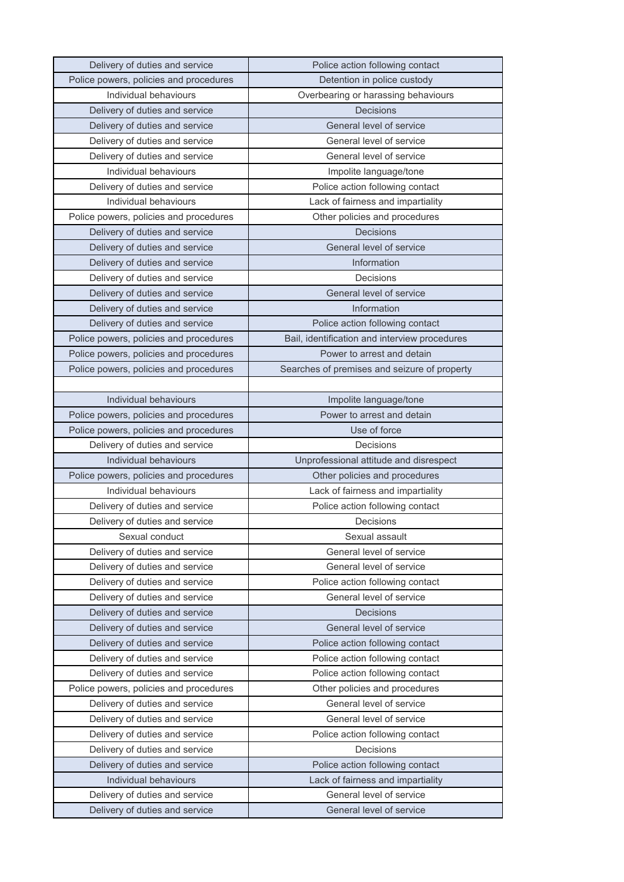| Delivery of duties and service         | Police action following contact               |
|----------------------------------------|-----------------------------------------------|
| Police powers, policies and procedures | Detention in police custody                   |
| Individual behaviours                  | Overbearing or harassing behaviours           |
| Delivery of duties and service         | Decisions                                     |
| Delivery of duties and service         | General level of service                      |
| Delivery of duties and service         | General level of service                      |
| Delivery of duties and service         | General level of service                      |
| Individual behaviours                  | Impolite language/tone                        |
| Delivery of duties and service         | Police action following contact               |
| Individual behaviours                  | Lack of fairness and impartiality             |
| Police powers, policies and procedures | Other policies and procedures                 |
| Delivery of duties and service         | <b>Decisions</b>                              |
| Delivery of duties and service         | General level of service                      |
| Delivery of duties and service         | Information                                   |
| Delivery of duties and service         | Decisions                                     |
| Delivery of duties and service         | General level of service                      |
| Delivery of duties and service         | Information                                   |
| Delivery of duties and service         | Police action following contact               |
| Police powers, policies and procedures | Bail, identification and interview procedures |
| Police powers, policies and procedures | Power to arrest and detain                    |
| Police powers, policies and procedures | Searches of premises and seizure of property  |
|                                        |                                               |
| Individual behaviours                  | Impolite language/tone                        |
| Police powers, policies and procedures | Power to arrest and detain                    |
| Police powers, policies and procedures | Use of force                                  |
|                                        |                                               |
| Delivery of duties and service         | Decisions                                     |
| Individual behaviours                  | Unprofessional attitude and disrespect        |
| Police powers, policies and procedures | Other policies and procedures                 |
| Individual behaviours                  | Lack of fairness and impartiality             |
| Delivery of duties and service         | Police action following contact               |
| Delivery of duties and service         | Decisions                                     |
| Sexual conduct                         | Sexual assault                                |
| Delivery of duties and service         | General level of service                      |
| Delivery of duties and service         | General level of service                      |
| Delivery of duties and service         | Police action following contact               |
| Delivery of duties and service         | General level of service                      |
| Delivery of duties and service         | <b>Decisions</b>                              |
| Delivery of duties and service         | General level of service                      |
| Delivery of duties and service         | Police action following contact               |
| Delivery of duties and service         | Police action following contact               |
| Delivery of duties and service         | Police action following contact               |
| Police powers, policies and procedures | Other policies and procedures                 |
| Delivery of duties and service         | General level of service                      |
| Delivery of duties and service         | General level of service                      |
| Delivery of duties and service         | Police action following contact               |
| Delivery of duties and service         | Decisions                                     |
| Delivery of duties and service         | Police action following contact               |
| Individual behaviours                  | Lack of fairness and impartiality             |
| Delivery of duties and service         | General level of service                      |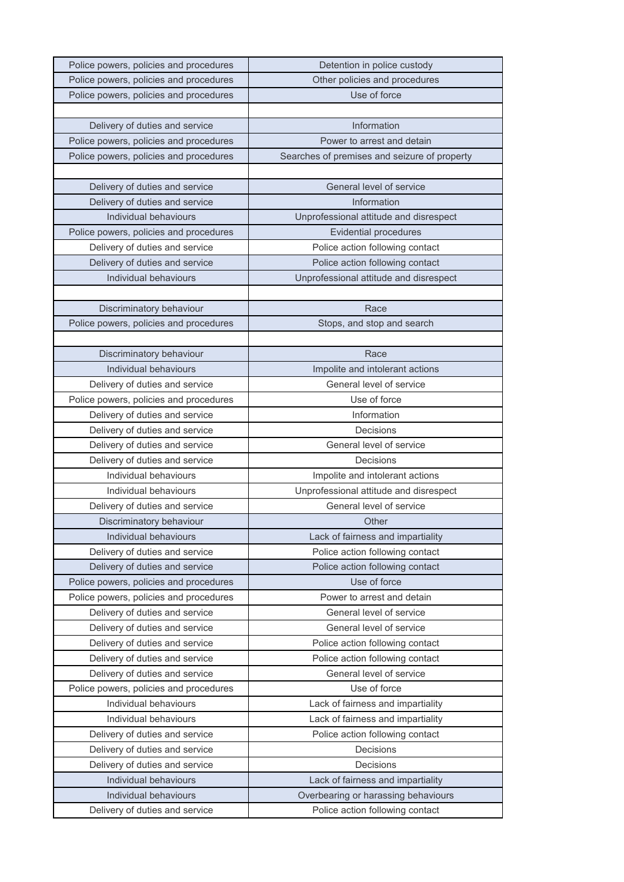| Police powers, policies and procedures | Detention in police custody                  |
|----------------------------------------|----------------------------------------------|
| Police powers, policies and procedures | Other policies and procedures                |
| Police powers, policies and procedures | Use of force                                 |
|                                        |                                              |
| Delivery of duties and service         | Information                                  |
| Police powers, policies and procedures | Power to arrest and detain                   |
| Police powers, policies and procedures | Searches of premises and seizure of property |
|                                        |                                              |
| Delivery of duties and service         | General level of service                     |
| Delivery of duties and service         | Information                                  |
| Individual behaviours                  | Unprofessional attitude and disrespect       |
| Police powers, policies and procedures | <b>Evidential procedures</b>                 |
| Delivery of duties and service         | Police action following contact              |
| Delivery of duties and service         | Police action following contact              |
| Individual behaviours                  | Unprofessional attitude and disrespect       |
|                                        |                                              |
| Discriminatory behaviour               | Race                                         |
| Police powers, policies and procedures | Stops, and stop and search                   |
|                                        |                                              |
| Discriminatory behaviour               | Race                                         |
| Individual behaviours                  | Impolite and intolerant actions              |
| Delivery of duties and service         | General level of service                     |
| Police powers, policies and procedures | Use of force                                 |
| Delivery of duties and service         | Information                                  |
| Delivery of duties and service         | Decisions                                    |
| Delivery of duties and service         | General level of service                     |
| Delivery of duties and service         | Decisions                                    |
| Individual behaviours                  | Impolite and intolerant actions              |
| Individual behaviours                  | Unprofessional attitude and disrespect       |
| Delivery of duties and service         | General level of service                     |
| Discriminatory behaviour               | Other                                        |
| Individual behaviours                  | Lack of fairness and impartiality            |
| Delivery of duties and service         | Police action following contact              |
| Delivery of duties and service         | Police action following contact              |
| Police powers, policies and procedures | Use of force                                 |
| Police powers, policies and procedures | Power to arrest and detain                   |
| Delivery of duties and service         | General level of service                     |
| Delivery of duties and service         | General level of service                     |
| Delivery of duties and service         | Police action following contact              |
| Delivery of duties and service         | Police action following contact              |
| Delivery of duties and service         | General level of service                     |
| Police powers, policies and procedures | Use of force                                 |
| Individual behaviours                  | Lack of fairness and impartiality            |
| Individual behaviours                  | Lack of fairness and impartiality            |
| Delivery of duties and service         | Police action following contact              |
| Delivery of duties and service         | Decisions                                    |
| Delivery of duties and service         | Decisions                                    |
| Individual behaviours                  | Lack of fairness and impartiality            |
| Individual behaviours                  | Overbearing or harassing behaviours          |
| Delivery of duties and service         | Police action following contact              |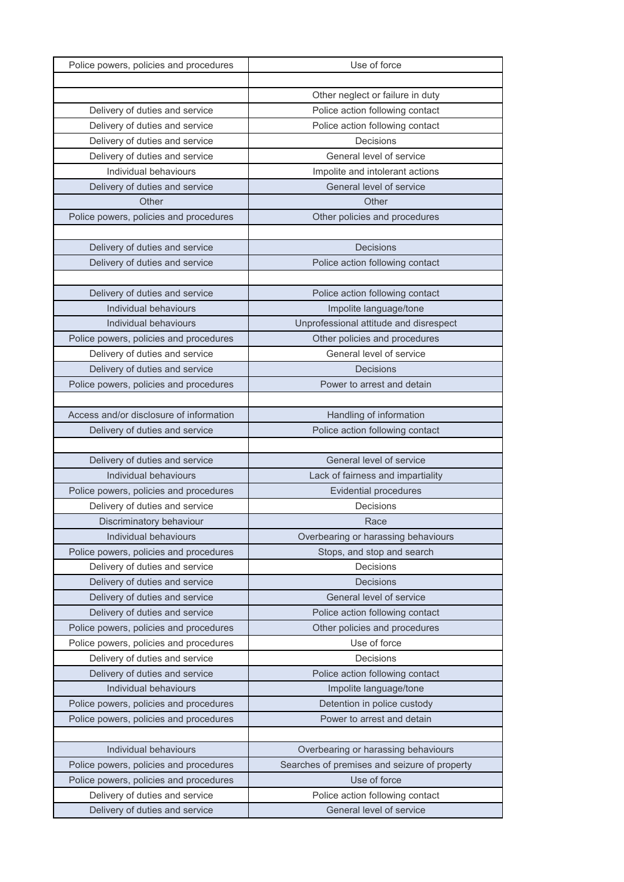| Police powers, policies and procedures                           | Use of force                                                |
|------------------------------------------------------------------|-------------------------------------------------------------|
|                                                                  |                                                             |
|                                                                  | Other neglect or failure in duty                            |
| Delivery of duties and service                                   | Police action following contact                             |
| Delivery of duties and service                                   | Police action following contact                             |
| Delivery of duties and service                                   | Decisions                                                   |
| Delivery of duties and service                                   | General level of service                                    |
| Individual behaviours                                            | Impolite and intolerant actions                             |
| Delivery of duties and service                                   | General level of service                                    |
| Other                                                            | Other                                                       |
| Police powers, policies and procedures                           | Other policies and procedures                               |
|                                                                  |                                                             |
| Delivery of duties and service                                   | Decisions                                                   |
| Delivery of duties and service                                   | Police action following contact                             |
|                                                                  |                                                             |
| Delivery of duties and service                                   | Police action following contact                             |
| Individual behaviours                                            | Impolite language/tone                                      |
| Individual behaviours                                            | Unprofessional attitude and disrespect                      |
| Police powers, policies and procedures                           | Other policies and procedures                               |
| Delivery of duties and service                                   | General level of service                                    |
| Delivery of duties and service                                   | <b>Decisions</b>                                            |
| Police powers, policies and procedures                           | Power to arrest and detain                                  |
|                                                                  |                                                             |
| Access and/or disclosure of information                          | Handling of information                                     |
| Delivery of duties and service                                   | Police action following contact                             |
|                                                                  |                                                             |
|                                                                  |                                                             |
| Delivery of duties and service                                   | General level of service                                    |
| Individual behaviours                                            | Lack of fairness and impartiality                           |
| Police powers, policies and procedures                           | <b>Evidential procedures</b>                                |
| Delivery of duties and service                                   | Decisions                                                   |
| Discriminatory behaviour                                         | Race                                                        |
| Individual behaviours                                            | Overbearing or harassing behaviours                         |
| Police powers, policies and procedures                           | Stops, and stop and search                                  |
| Delivery of duties and service                                   | Decisions                                                   |
| Delivery of duties and service                                   | <b>Decisions</b>                                            |
| Delivery of duties and service                                   | General level of service                                    |
| Delivery of duties and service                                   | Police action following contact                             |
| Police powers, policies and procedures                           | Other policies and procedures                               |
| Police powers, policies and procedures                           | Use of force                                                |
| Delivery of duties and service                                   | Decisions                                                   |
| Delivery of duties and service                                   | Police action following contact                             |
| Individual behaviours                                            | Impolite language/tone                                      |
| Police powers, policies and procedures                           | Detention in police custody                                 |
| Police powers, policies and procedures                           | Power to arrest and detain                                  |
|                                                                  |                                                             |
| Individual behaviours                                            | Overbearing or harassing behaviours                         |
| Police powers, policies and procedures                           | Searches of premises and seizure of property                |
| Police powers, policies and procedures                           | Use of force                                                |
| Delivery of duties and service<br>Delivery of duties and service | Police action following contact<br>General level of service |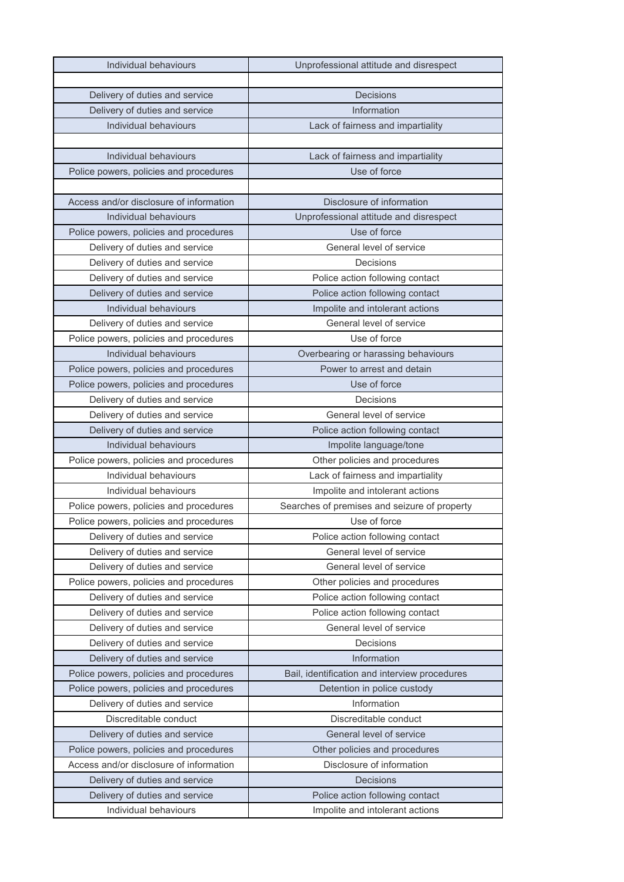| Individual behaviours                   | Unprofessional attitude and disrespect        |
|-----------------------------------------|-----------------------------------------------|
|                                         |                                               |
| Delivery of duties and service          | Decisions                                     |
| Delivery of duties and service          | Information                                   |
| Individual behaviours                   | Lack of fairness and impartiality             |
|                                         |                                               |
| Individual behaviours                   | Lack of fairness and impartiality             |
| Police powers, policies and procedures  | Use of force                                  |
|                                         |                                               |
| Access and/or disclosure of information | Disclosure of information                     |
| Individual behaviours                   | Unprofessional attitude and disrespect        |
| Police powers, policies and procedures  | Use of force                                  |
| Delivery of duties and service          | General level of service                      |
| Delivery of duties and service          | Decisions                                     |
| Delivery of duties and service          | Police action following contact               |
| Delivery of duties and service          | Police action following contact               |
| Individual behaviours                   | Impolite and intolerant actions               |
| Delivery of duties and service          | General level of service                      |
| Police powers, policies and procedures  | Use of force                                  |
| Individual behaviours                   | Overbearing or harassing behaviours           |
| Police powers, policies and procedures  | Power to arrest and detain                    |
| Police powers, policies and procedures  | Use of force                                  |
| Delivery of duties and service          | Decisions                                     |
| Delivery of duties and service          | General level of service                      |
| Delivery of duties and service          | Police action following contact               |
| Individual behaviours                   | Impolite language/tone                        |
| Police powers, policies and procedures  | Other policies and procedures                 |
| Individual behaviours                   | Lack of fairness and impartiality             |
| Individual behaviours                   | Impolite and intolerant actions               |
| Police powers, policies and procedures  | Searches of premises and seizure of property  |
| Police powers, policies and procedures  | Use of force                                  |
| Delivery of duties and service          | Police action following contact               |
| Delivery of duties and service          | General level of service                      |
| Delivery of duties and service          | General level of service                      |
| Police powers, policies and procedures  | Other policies and procedures                 |
| Delivery of duties and service          | Police action following contact               |
| Delivery of duties and service          | Police action following contact               |
| Delivery of duties and service          | General level of service                      |
| Delivery of duties and service          | Decisions                                     |
| Delivery of duties and service          | Information                                   |
| Police powers, policies and procedures  | Bail, identification and interview procedures |
| Police powers, policies and procedures  | Detention in police custody                   |
| Delivery of duties and service          | Information                                   |
| Discreditable conduct                   | Discreditable conduct                         |
| Delivery of duties and service          | General level of service                      |
| Police powers, policies and procedures  | Other policies and procedures                 |
| Access and/or disclosure of information | Disclosure of information                     |
|                                         |                                               |
| Delivery of duties and service          | Decisions                                     |
| Delivery of duties and service          | Police action following contact               |
| Individual behaviours                   | Impolite and intolerant actions               |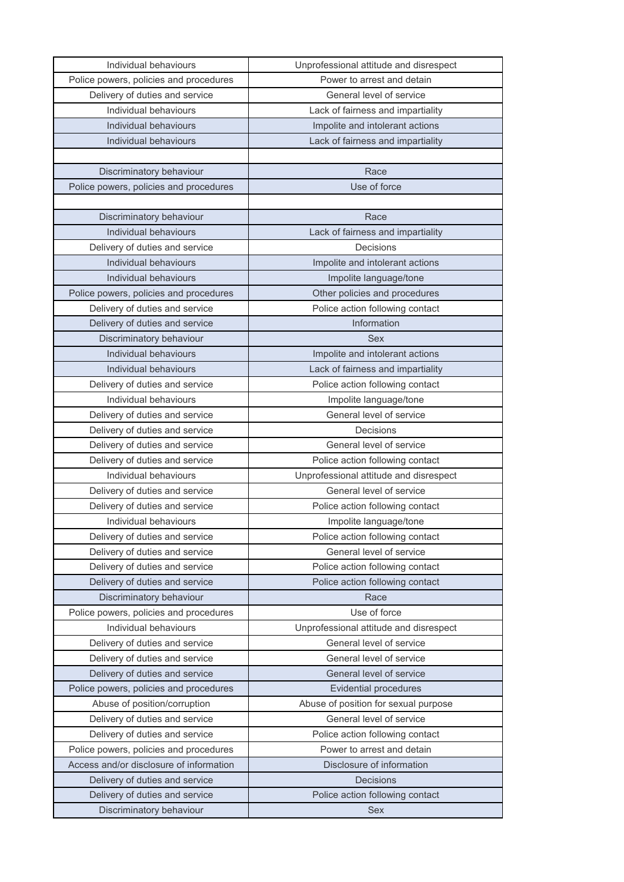| Individual behaviours                   | Unprofessional attitude and disrespect |
|-----------------------------------------|----------------------------------------|
| Police powers, policies and procedures  | Power to arrest and detain             |
| Delivery of duties and service          | General level of service               |
| Individual behaviours                   | Lack of fairness and impartiality      |
| Individual behaviours                   | Impolite and intolerant actions        |
| Individual behaviours                   | Lack of fairness and impartiality      |
|                                         |                                        |
| Discriminatory behaviour                | Race                                   |
| Police powers, policies and procedures  | Use of force                           |
|                                         |                                        |
| Discriminatory behaviour                | Race                                   |
| Individual behaviours                   | Lack of fairness and impartiality      |
| Delivery of duties and service          | Decisions                              |
| Individual behaviours                   | Impolite and intolerant actions        |
| Individual behaviours                   | Impolite language/tone                 |
| Police powers, policies and procedures  | Other policies and procedures          |
| Delivery of duties and service          | Police action following contact        |
| Delivery of duties and service          | Information                            |
| Discriminatory behaviour                | Sex                                    |
| Individual behaviours                   | Impolite and intolerant actions        |
| Individual behaviours                   | Lack of fairness and impartiality      |
| Delivery of duties and service          | Police action following contact        |
| Individual behaviours                   | Impolite language/tone                 |
| Delivery of duties and service          | General level of service               |
| Delivery of duties and service          | Decisions                              |
| Delivery of duties and service          | General level of service               |
| Delivery of duties and service          | Police action following contact        |
| Individual behaviours                   | Unprofessional attitude and disrespect |
| Delivery of duties and service          | General level of service               |
| Delivery of duties and service          | Police action following contact        |
| Individual behaviours                   | Impolite language/tone                 |
| Delivery of duties and service          | Police action following contact        |
| Delivery of duties and service          | General level of service               |
| Delivery of duties and service          | Police action following contact        |
| Delivery of duties and service          | Police action following contact        |
| Discriminatory behaviour                | Race                                   |
| Police powers, policies and procedures  | Use of force                           |
| Individual behaviours                   | Unprofessional attitude and disrespect |
| Delivery of duties and service          | General level of service               |
| Delivery of duties and service          | General level of service               |
| Delivery of duties and service          | General level of service               |
| Police powers, policies and procedures  | <b>Evidential procedures</b>           |
| Abuse of position/corruption            | Abuse of position for sexual purpose   |
| Delivery of duties and service          | General level of service               |
| Delivery of duties and service          | Police action following contact        |
| Police powers, policies and procedures  | Power to arrest and detain             |
| Access and/or disclosure of information | Disclosure of information              |
| Delivery of duties and service          | Decisions                              |
| Delivery of duties and service          | Police action following contact        |
| Discriminatory behaviour                | <b>Sex</b>                             |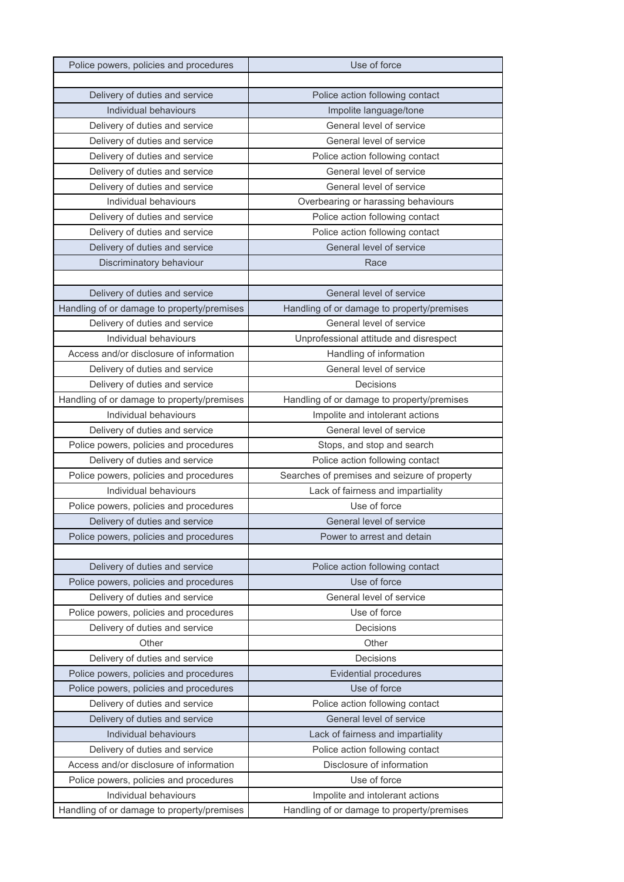| Police powers, policies and procedures     | Use of force                                 |
|--------------------------------------------|----------------------------------------------|
|                                            |                                              |
| Delivery of duties and service             | Police action following contact              |
| Individual behaviours                      | Impolite language/tone                       |
| Delivery of duties and service             | General level of service                     |
| Delivery of duties and service             | General level of service                     |
| Delivery of duties and service             | Police action following contact              |
| Delivery of duties and service             | General level of service                     |
| Delivery of duties and service             | General level of service                     |
| Individual behaviours                      | Overbearing or harassing behaviours          |
| Delivery of duties and service             | Police action following contact              |
| Delivery of duties and service             | Police action following contact              |
| Delivery of duties and service             | General level of service                     |
| Discriminatory behaviour                   | Race                                         |
|                                            |                                              |
| Delivery of duties and service             | General level of service                     |
| Handling of or damage to property/premises | Handling of or damage to property/premises   |
| Delivery of duties and service             | General level of service                     |
| Individual behaviours                      | Unprofessional attitude and disrespect       |
| Access and/or disclosure of information    | Handling of information                      |
| Delivery of duties and service             | General level of service                     |
| Delivery of duties and service             | Decisions                                    |
| Handling of or damage to property/premises | Handling of or damage to property/premises   |
| Individual behaviours                      | Impolite and intolerant actions              |
|                                            | General level of service                     |
| Delivery of duties and service             |                                              |
| Police powers, policies and procedures     | Stops, and stop and search                   |
| Delivery of duties and service             | Police action following contact              |
| Police powers, policies and procedures     | Searches of premises and seizure of property |
| Individual behaviours                      | Lack of fairness and impartiality            |
| Police powers, policies and procedures     | Use of force                                 |
| Delivery of duties and service             | General level of service                     |
| Police powers, policies and procedures     | Power to arrest and detain                   |
|                                            |                                              |
| Delivery of duties and service             | Police action following contact              |
| Police powers, policies and procedures     | Use of force                                 |
| Delivery of duties and service             | General level of service                     |
| Police powers, policies and procedures     | Use of force                                 |
| Delivery of duties and service             | Decisions                                    |
| Other                                      | Other                                        |
| Delivery of duties and service             | Decisions                                    |
| Police powers, policies and procedures     | <b>Evidential procedures</b>                 |
| Police powers, policies and procedures     | Use of force                                 |
| Delivery of duties and service             | Police action following contact              |
| Delivery of duties and service             | General level of service                     |
| Individual behaviours                      | Lack of fairness and impartiality            |
| Delivery of duties and service             | Police action following contact              |
| Access and/or disclosure of information    | Disclosure of information                    |
| Police powers, policies and procedures     | Use of force                                 |
| Individual behaviours                      | Impolite and intolerant actions              |
| Handling of or damage to property/premises | Handling of or damage to property/premises   |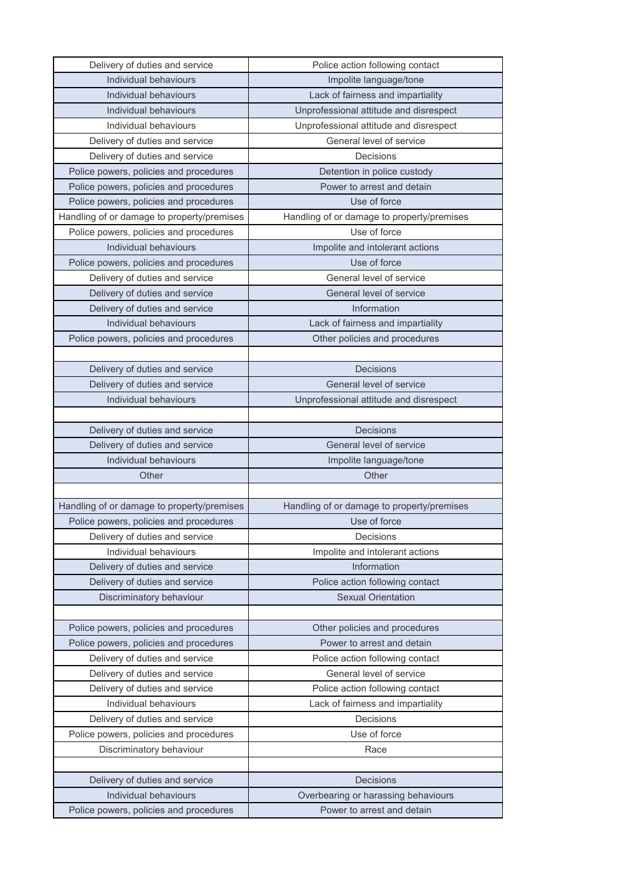| Delivery of duties and service             | Police action following contact            |
|--------------------------------------------|--------------------------------------------|
| Individual behaviours                      | Impolite language/tone                     |
| Individual behaviours                      | Lack of fairness and impartiality          |
| Individual behaviours                      | Unprofessional attitude and disrespect     |
| Individual behaviours                      | Unprofessional attitude and disrespect     |
| Delivery of duties and service             | General level of service                   |
| Delivery of duties and service             | Decisions                                  |
| Police powers, policies and procedures     | Detention in police custody                |
| Police powers, policies and procedures     | Power to arrest and detain                 |
| Police powers, policies and procedures     | Use of force                               |
| Handling of or damage to property/premises | Handling of or damage to property/premises |
| Police powers, policies and procedures     | Use of force                               |
| Individual behaviours                      | Impolite and intolerant actions            |
| Police powers, policies and procedures     | Use of force                               |
| Delivery of duties and service             | General level of service                   |
| Delivery of duties and service             | General level of service                   |
| Delivery of duties and service             | Information                                |
| Individual behaviours                      | Lack of fairness and impartiality          |
| Police powers, policies and procedures     | Other policies and procedures              |
|                                            |                                            |
| Delivery of duties and service             | Decisions                                  |
| Delivery of duties and service             | General level of service                   |
| Individual behaviours                      | Unprofessional attitude and disrespect     |
|                                            |                                            |
| Delivery of duties and service             | <b>Decisions</b>                           |
| Delivery of duties and service             | General level of service                   |
| Individual behaviours                      | Impolite language/tone                     |
| Other                                      | Other                                      |
|                                            |                                            |
| Handling of or damage to property/premises | Handling of or damage to property/premises |
| Police powers, policies and procedures     | Use of force                               |
| Delivery of duties and service             | Decisions                                  |
| Individual behaviours                      | Impolite and intolerant actions            |
| Delivery of duties and service             | Information                                |
| Delivery of duties and service             | Police action following contact            |
| Discriminatory behaviour                   | <b>Sexual Orientation</b>                  |
|                                            |                                            |
| Police powers, policies and procedures     | Other policies and procedures              |
| Police powers, policies and procedures     | Power to arrest and detain                 |
| Delivery of duties and service             | Police action following contact            |
| Delivery of duties and service             | General level of service                   |
| Delivery of duties and service             | Police action following contact            |
| Individual behaviours                      | Lack of fairness and impartiality          |
| Delivery of duties and service             | Decisions                                  |
| Police powers, policies and procedures     | Use of force                               |
| Discriminatory behaviour                   |                                            |
|                                            | Race                                       |
|                                            |                                            |
| Delivery of duties and service             | Decisions                                  |
| Individual behaviours                      | Overbearing or harassing behaviours        |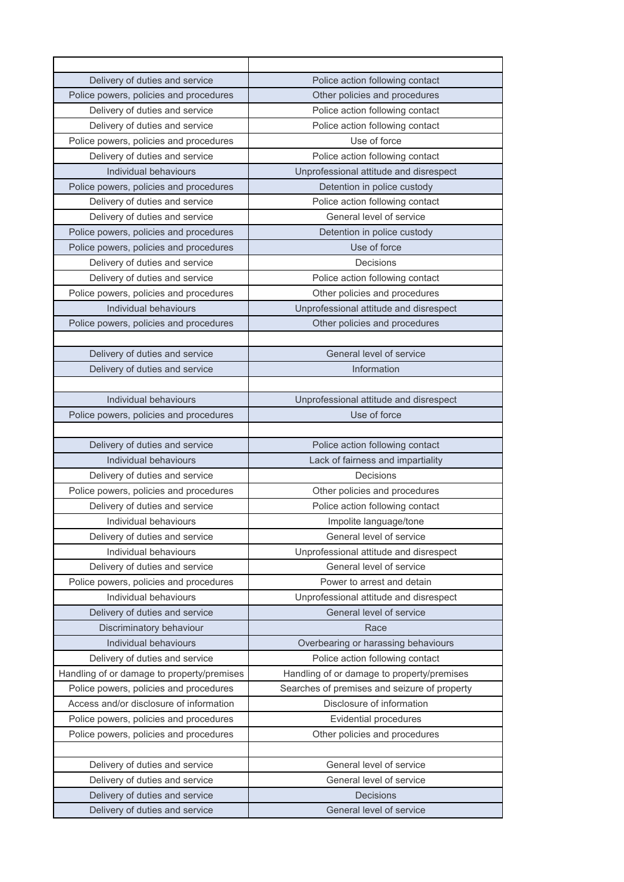| Delivery of duties and service             | Police action following contact              |
|--------------------------------------------|----------------------------------------------|
| Police powers, policies and procedures     | Other policies and procedures                |
| Delivery of duties and service             | Police action following contact              |
| Delivery of duties and service             | Police action following contact              |
| Police powers, policies and procedures     | Use of force                                 |
| Delivery of duties and service             | Police action following contact              |
| Individual behaviours                      | Unprofessional attitude and disrespect       |
| Police powers, policies and procedures     | Detention in police custody                  |
| Delivery of duties and service             | Police action following contact              |
| Delivery of duties and service             | General level of service                     |
| Police powers, policies and procedures     | Detention in police custody                  |
| Police powers, policies and procedures     | Use of force                                 |
| Delivery of duties and service             | Decisions                                    |
| Delivery of duties and service             | Police action following contact              |
| Police powers, policies and procedures     | Other policies and procedures                |
| Individual behaviours                      | Unprofessional attitude and disrespect       |
| Police powers, policies and procedures     | Other policies and procedures                |
|                                            |                                              |
| Delivery of duties and service             | General level of service                     |
| Delivery of duties and service             | Information                                  |
|                                            |                                              |
| Individual behaviours                      | Unprofessional attitude and disrespect       |
| Police powers, policies and procedures     | Use of force                                 |
|                                            |                                              |
| Delivery of duties and service             | Police action following contact              |
| Individual behaviours                      | Lack of fairness and impartiality            |
| Delivery of duties and service             | Decisions                                    |
| Police powers, policies and procedures     | Other policies and procedures                |
| Delivery of duties and service             | Police action following contact              |
| Individual behaviours                      | Impolite language/tone                       |
| Delivery of duties and service             | General level of service                     |
| Individual behaviours                      | Unprofessional attitude and disrespect       |
| Delivery of duties and service             | General level of service                     |
| Police powers, policies and procedures     | Power to arrest and detain                   |
| Individual behaviours                      | Unprofessional attitude and disrespect       |
| Delivery of duties and service             | General level of service                     |
| Discriminatory behaviour                   | Race                                         |
| Individual behaviours                      | Overbearing or harassing behaviours          |
| Delivery of duties and service             | Police action following contact              |
| Handling of or damage to property/premises | Handling of or damage to property/premises   |
| Police powers, policies and procedures     | Searches of premises and seizure of property |
| Access and/or disclosure of information    | Disclosure of information                    |
| Police powers, policies and procedures     | <b>Evidential procedures</b>                 |
| Police powers, policies and procedures     | Other policies and procedures                |
|                                            |                                              |
| Delivery of duties and service             | General level of service                     |
| Delivery of duties and service             | General level of service                     |
| Delivery of duties and service             | <b>Decisions</b>                             |
| Delivery of duties and service             | General level of service                     |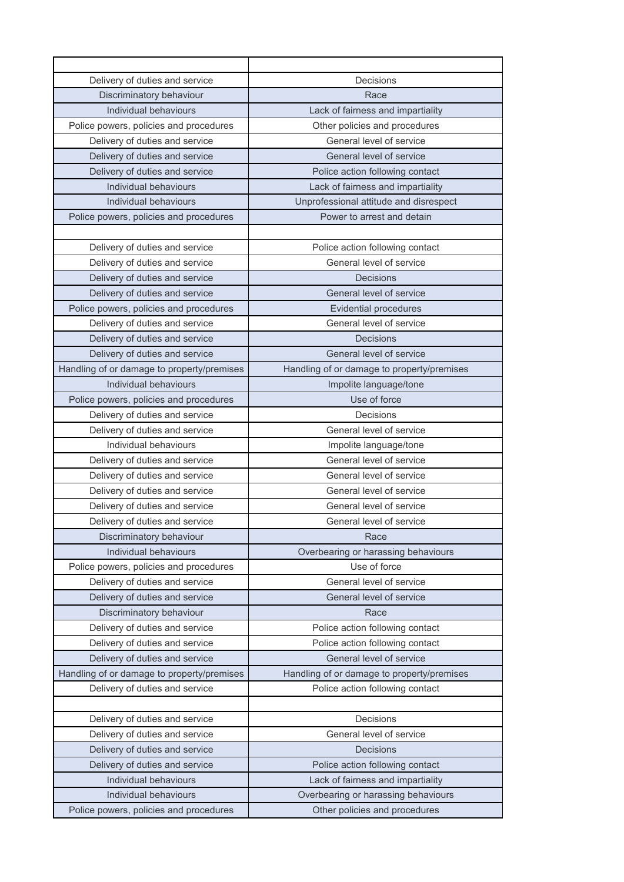| Delivery of duties and service             | Decisions                                  |
|--------------------------------------------|--------------------------------------------|
| Discriminatory behaviour                   | Race                                       |
| Individual behaviours                      | Lack of fairness and impartiality          |
| Police powers, policies and procedures     | Other policies and procedures              |
| Delivery of duties and service             | General level of service                   |
| Delivery of duties and service             | General level of service                   |
| Delivery of duties and service             | Police action following contact            |
| Individual behaviours                      | Lack of fairness and impartiality          |
| Individual behaviours                      | Unprofessional attitude and disrespect     |
| Police powers, policies and procedures     | Power to arrest and detain                 |
|                                            |                                            |
| Delivery of duties and service             | Police action following contact            |
| Delivery of duties and service             | General level of service                   |
| Delivery of duties and service             | Decisions                                  |
| Delivery of duties and service             | General level of service                   |
| Police powers, policies and procedures     | <b>Evidential procedures</b>               |
| Delivery of duties and service             | General level of service                   |
| Delivery of duties and service             | Decisions                                  |
| Delivery of duties and service             | General level of service                   |
| Handling of or damage to property/premises | Handling of or damage to property/premises |
| Individual behaviours                      | Impolite language/tone                     |
| Police powers, policies and procedures     | Use of force                               |
| Delivery of duties and service             | Decisions                                  |
| Delivery of duties and service             | General level of service                   |
| Individual behaviours                      | Impolite language/tone                     |
| Delivery of duties and service             | General level of service                   |
| Delivery of duties and service             | General level of service                   |
| Delivery of duties and service             | General level of service                   |
| Delivery of duties and service             | General level of service                   |
| Delivery of duties and service             | General level of service                   |
| Discriminatory behaviour                   | Race                                       |
| Individual behaviours                      | Overbearing or harassing behaviours        |
| Police powers, policies and procedures     | Use of force                               |
| Delivery of duties and service             | General level of service                   |
| Delivery of duties and service             | General level of service                   |
| Discriminatory behaviour                   | Race                                       |
| Delivery of duties and service             | Police action following contact            |
| Delivery of duties and service             | Police action following contact            |
| Delivery of duties and service             | General level of service                   |
| Handling of or damage to property/premises | Handling of or damage to property/premises |
| Delivery of duties and service             | Police action following contact            |
|                                            |                                            |
| Delivery of duties and service             | Decisions                                  |
| Delivery of duties and service             | General level of service                   |
| Delivery of duties and service             | Decisions                                  |
| Delivery of duties and service             | Police action following contact            |
| Individual behaviours                      | Lack of fairness and impartiality          |
| Individual behaviours                      | Overbearing or harassing behaviours        |
| Police powers, policies and procedures     | Other policies and procedures              |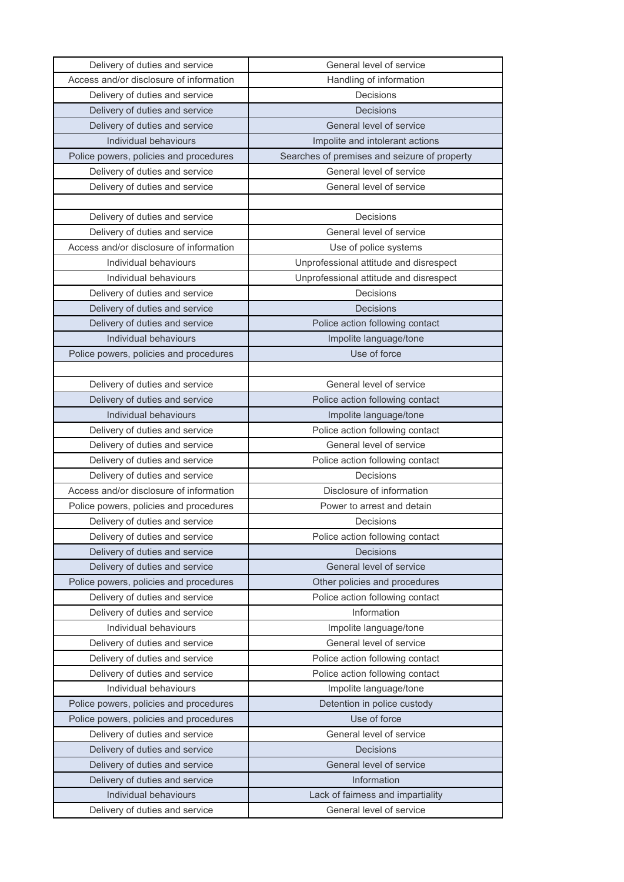| Delivery of duties and service          | General level of service                     |
|-----------------------------------------|----------------------------------------------|
| Access and/or disclosure of information | Handling of information                      |
| Delivery of duties and service          | Decisions                                    |
| Delivery of duties and service          | <b>Decisions</b>                             |
| Delivery of duties and service          | General level of service                     |
| Individual behaviours                   | Impolite and intolerant actions              |
| Police powers, policies and procedures  | Searches of premises and seizure of property |
| Delivery of duties and service          | General level of service                     |
| Delivery of duties and service          | General level of service                     |
|                                         |                                              |
| Delivery of duties and service          | Decisions                                    |
| Delivery of duties and service          | General level of service                     |
| Access and/or disclosure of information | Use of police systems                        |
| Individual behaviours                   | Unprofessional attitude and disrespect       |
| Individual behaviours                   | Unprofessional attitude and disrespect       |
| Delivery of duties and service          | Decisions                                    |
| Delivery of duties and service          | Decisions                                    |
| Delivery of duties and service          | Police action following contact              |
| Individual behaviours                   | Impolite language/tone                       |
| Police powers, policies and procedures  | Use of force                                 |
|                                         |                                              |
| Delivery of duties and service          | General level of service                     |
| Delivery of duties and service          | Police action following contact              |
| Individual behaviours                   | Impolite language/tone                       |
| Delivery of duties and service          | Police action following contact              |
| Delivery of duties and service          | General level of service                     |
| Delivery of duties and service          | Police action following contact              |
| Delivery of duties and service          | Decisions                                    |
| Access and/or disclosure of information | Disclosure of information                    |
| Police powers, policies and procedures  | Power to arrest and detain                   |
| Delivery of duties and service          | Decisions                                    |
| Delivery of duties and service          | Police action following contact              |
| Delivery of duties and service          | <b>Decisions</b>                             |
| Delivery of duties and service          | General level of service                     |
| Police powers, policies and procedures  | Other policies and procedures                |
| Delivery of duties and service          | Police action following contact              |
| Delivery of duties and service          | Information                                  |
| Individual behaviours                   | Impolite language/tone                       |
| Delivery of duties and service          | General level of service                     |
| Delivery of duties and service          | Police action following contact              |
| Delivery of duties and service          | Police action following contact              |
| Individual behaviours                   | Impolite language/tone                       |
| Police powers, policies and procedures  | Detention in police custody                  |
| Police powers, policies and procedures  | Use of force                                 |
| Delivery of duties and service          | General level of service                     |
| Delivery of duties and service          | <b>Decisions</b>                             |
| Delivery of duties and service          | General level of service                     |
| Delivery of duties and service          | Information                                  |
| Individual behaviours                   | Lack of fairness and impartiality            |
| Delivery of duties and service          | General level of service                     |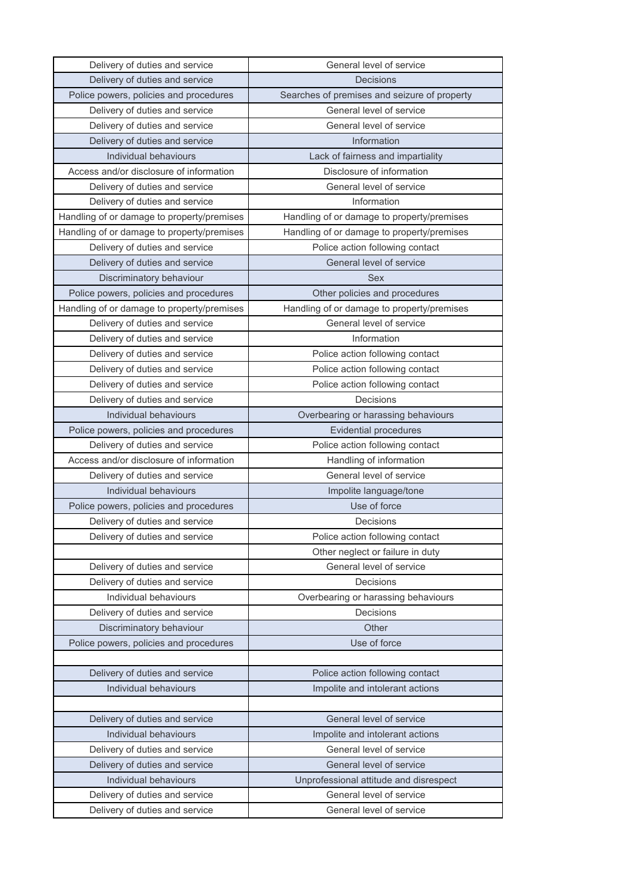| Delivery of duties and service             | General level of service                     |
|--------------------------------------------|----------------------------------------------|
| Delivery of duties and service             | Decisions                                    |
| Police powers, policies and procedures     | Searches of premises and seizure of property |
| Delivery of duties and service             | General level of service                     |
| Delivery of duties and service             | General level of service                     |
| Delivery of duties and service             | Information                                  |
| Individual behaviours                      | Lack of fairness and impartiality            |
| Access and/or disclosure of information    | Disclosure of information                    |
| Delivery of duties and service             | General level of service                     |
| Delivery of duties and service             | Information                                  |
| Handling of or damage to property/premises | Handling of or damage to property/premises   |
| Handling of or damage to property/premises | Handling of or damage to property/premises   |
| Delivery of duties and service             | Police action following contact              |
| Delivery of duties and service             | General level of service                     |
| Discriminatory behaviour                   | Sex                                          |
| Police powers, policies and procedures     | Other policies and procedures                |
| Handling of or damage to property/premises | Handling of or damage to property/premises   |
| Delivery of duties and service             | General level of service                     |
| Delivery of duties and service             | Information                                  |
| Delivery of duties and service             | Police action following contact              |
| Delivery of duties and service             | Police action following contact              |
| Delivery of duties and service             | Police action following contact              |
| Delivery of duties and service             | Decisions                                    |
| Individual behaviours                      | Overbearing or harassing behaviours          |
| Police powers, policies and procedures     | <b>Evidential procedures</b>                 |
| Delivery of duties and service             | Police action following contact              |
| Access and/or disclosure of information    | Handling of information                      |
| Delivery of duties and service             | General level of service                     |
| Individual behaviours                      | Impolite language/tone                       |
| Police powers, policies and procedures     | Use of force                                 |
| Delivery of duties and service             | Decisions                                    |
| Delivery of duties and service             | Police action following contact              |
|                                            | Other neglect or failure in duty             |
| Delivery of duties and service             | General level of service                     |
| Delivery of duties and service             | Decisions                                    |
| Individual behaviours                      | Overbearing or harassing behaviours          |
| Delivery of duties and service             | Decisions                                    |
| Discriminatory behaviour                   | Other                                        |
| Police powers, policies and procedures     | Use of force                                 |
|                                            |                                              |
| Delivery of duties and service             | Police action following contact              |
| Individual behaviours                      | Impolite and intolerant actions              |
|                                            |                                              |
| Delivery of duties and service             | General level of service                     |
| Individual behaviours                      | Impolite and intolerant actions              |
| Delivery of duties and service             | General level of service                     |
| Delivery of duties and service             | General level of service                     |
| Individual behaviours                      | Unprofessional attitude and disrespect       |
| Delivery of duties and service             | General level of service                     |
| Delivery of duties and service             | General level of service                     |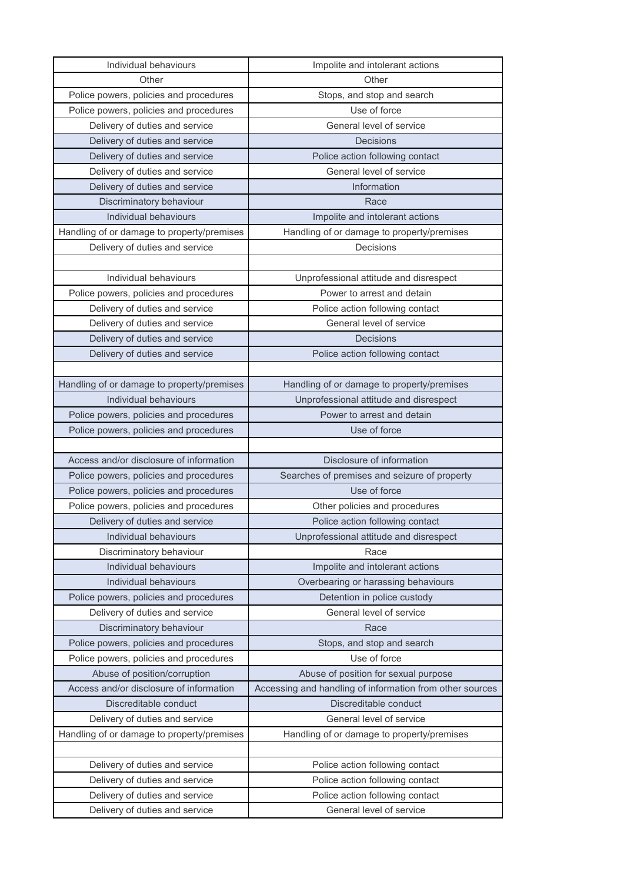| Individual behaviours                      | Impolite and intolerant actions                          |
|--------------------------------------------|----------------------------------------------------------|
| Other                                      | Other                                                    |
| Police powers, policies and procedures     | Stops, and stop and search                               |
| Police powers, policies and procedures     | Use of force                                             |
| Delivery of duties and service             | General level of service                                 |
| Delivery of duties and service             | Decisions                                                |
| Delivery of duties and service             | Police action following contact                          |
| Delivery of duties and service             | General level of service                                 |
| Delivery of duties and service             | Information                                              |
| Discriminatory behaviour                   | Race                                                     |
| Individual behaviours                      | Impolite and intolerant actions                          |
| Handling of or damage to property/premises | Handling of or damage to property/premises               |
| Delivery of duties and service             | Decisions                                                |
|                                            |                                                          |
| Individual behaviours                      | Unprofessional attitude and disrespect                   |
| Police powers, policies and procedures     | Power to arrest and detain                               |
| Delivery of duties and service             | Police action following contact                          |
| Delivery of duties and service             | General level of service                                 |
| Delivery of duties and service             | Decisions                                                |
| Delivery of duties and service             | Police action following contact                          |
|                                            |                                                          |
| Handling of or damage to property/premises | Handling of or damage to property/premises               |
| Individual behaviours                      | Unprofessional attitude and disrespect                   |
| Police powers, policies and procedures     | Power to arrest and detain                               |
| Police powers, policies and procedures     | Use of force                                             |
|                                            |                                                          |
|                                            |                                                          |
| Access and/or disclosure of information    | Disclosure of information                                |
| Police powers, policies and procedures     | Searches of premises and seizure of property             |
| Police powers, policies and procedures     | Use of force                                             |
| Police powers, policies and procedures     | Other policies and procedures                            |
| Delivery of duties and service             | Police action following contact                          |
| Individual behaviours                      | Unprofessional attitude and disrespect                   |
| Discriminatory behaviour                   | Race                                                     |
| Individual behaviours                      | Impolite and intolerant actions                          |
| Individual behaviours                      | Overbearing or harassing behaviours                      |
| Police powers, policies and procedures     | Detention in police custody                              |
| Delivery of duties and service             | General level of service                                 |
| Discriminatory behaviour                   | Race                                                     |
| Police powers, policies and procedures     | Stops, and stop and search                               |
| Police powers, policies and procedures     | Use of force                                             |
| Abuse of position/corruption               | Abuse of position for sexual purpose                     |
| Access and/or disclosure of information    | Accessing and handling of information from other sources |
| Discreditable conduct                      | Discreditable conduct                                    |
| Delivery of duties and service             | General level of service                                 |
| Handling of or damage to property/premises | Handling of or damage to property/premises               |
|                                            |                                                          |
| Delivery of duties and service             | Police action following contact                          |
| Delivery of duties and service             | Police action following contact                          |
| Delivery of duties and service             | Police action following contact                          |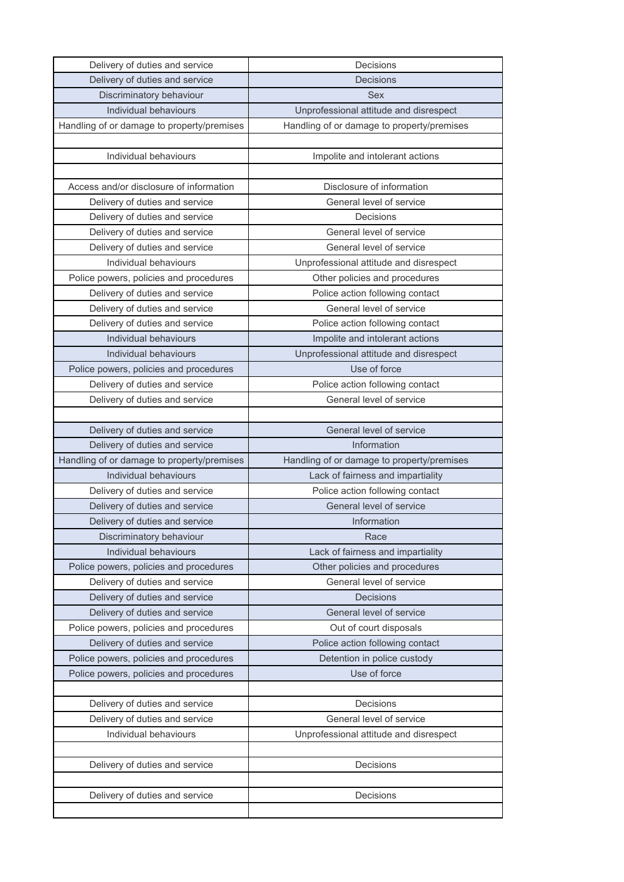| Delivery of duties and service             | Decisions                                  |
|--------------------------------------------|--------------------------------------------|
| Delivery of duties and service             | <b>Decisions</b>                           |
| Discriminatory behaviour                   | <b>Sex</b>                                 |
| Individual behaviours                      | Unprofessional attitude and disrespect     |
| Handling of or damage to property/premises | Handling of or damage to property/premises |
|                                            |                                            |
| Individual behaviours                      | Impolite and intolerant actions            |
|                                            |                                            |
| Access and/or disclosure of information    | Disclosure of information                  |
| Delivery of duties and service             | General level of service                   |
| Delivery of duties and service             | Decisions                                  |
| Delivery of duties and service             | General level of service                   |
| Delivery of duties and service             | General level of service                   |
| Individual behaviours                      | Unprofessional attitude and disrespect     |
| Police powers, policies and procedures     | Other policies and procedures              |
| Delivery of duties and service             | Police action following contact            |
| Delivery of duties and service             | General level of service                   |
| Delivery of duties and service             | Police action following contact            |
| Individual behaviours                      | Impolite and intolerant actions            |
| Individual behaviours                      | Unprofessional attitude and disrespect     |
| Police powers, policies and procedures     | Use of force                               |
| Delivery of duties and service             | Police action following contact            |
| Delivery of duties and service             | General level of service                   |
|                                            |                                            |
| Delivery of duties and service             | General level of service                   |
| Delivery of duties and service             | Information                                |
| Handling of or damage to property/premises | Handling of or damage to property/premises |
| Individual behaviours                      | Lack of fairness and impartiality          |
| Delivery of duties and service             | Police action following contact            |
| Delivery of duties and service             | General level of service                   |
| Delivery of duties and service             | Information                                |
| Discriminatory behaviour                   | Race                                       |
| Individual behaviours                      | Lack of fairness and impartiality          |
| Police powers, policies and procedures     | Other policies and procedures              |
| Delivery of duties and service             | General level of service                   |
| Delivery of duties and service             | Decisions                                  |
| Delivery of duties and service             | General level of service                   |
| Police powers, policies and procedures     | Out of court disposals                     |
| Delivery of duties and service             | Police action following contact            |
| Police powers, policies and procedures     | Detention in police custody                |
| Police powers, policies and procedures     | Use of force                               |
|                                            |                                            |
| Delivery of duties and service             | Decisions                                  |
| Delivery of duties and service             | General level of service                   |
| Individual behaviours                      | Unprofessional attitude and disrespect     |
|                                            |                                            |
| Delivery of duties and service             | Decisions                                  |
|                                            |                                            |
| Delivery of duties and service             | Decisions                                  |
|                                            |                                            |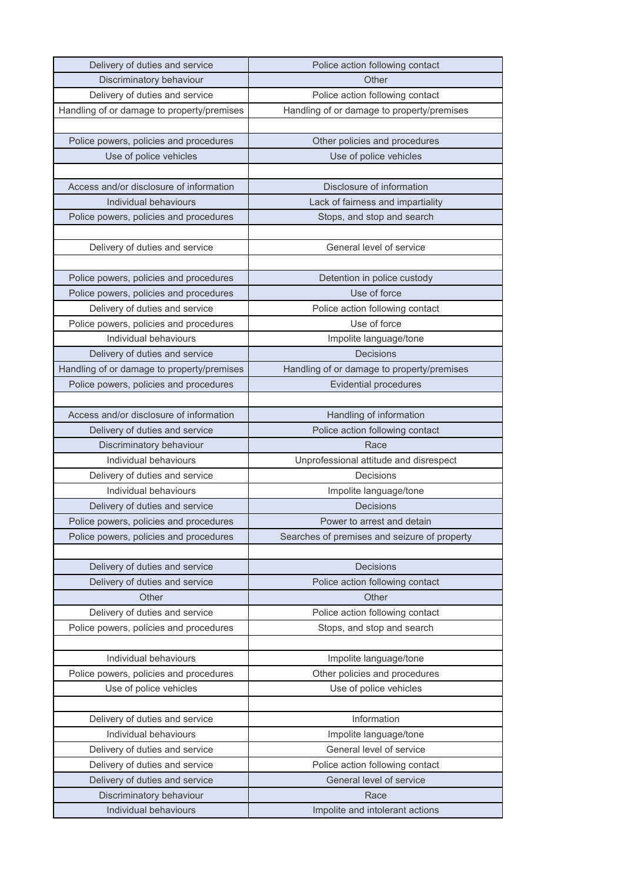| Delivery of duties and service                    | Police action following contact              |
|---------------------------------------------------|----------------------------------------------|
| Discriminatory behaviour                          | Other                                        |
| Delivery of duties and service                    | Police action following contact              |
| Handling of or damage to property/premises        | Handling of or damage to property/premises   |
|                                                   |                                              |
| Police powers, policies and procedures            | Other policies and procedures                |
| Use of police vehicles                            | Use of police vehicles                       |
|                                                   |                                              |
| Access and/or disclosure of information           | Disclosure of information                    |
| Individual behaviours                             | Lack of fairness and impartiality            |
| Police powers, policies and procedures            | Stops, and stop and search                   |
|                                                   |                                              |
| Delivery of duties and service                    | General level of service                     |
|                                                   |                                              |
| Police powers, policies and procedures            | Detention in police custody                  |
| Police powers, policies and procedures            | Use of force                                 |
| Delivery of duties and service                    | Police action following contact              |
| Police powers, policies and procedures            | Use of force                                 |
| Individual behaviours                             | Impolite language/tone                       |
| Delivery of duties and service                    | <b>Decisions</b>                             |
| Handling of or damage to property/premises        | Handling of or damage to property/premises   |
| Police powers, policies and procedures            | <b>Evidential procedures</b>                 |
|                                                   |                                              |
| Access and/or disclosure of information           | Handling of information                      |
| Delivery of duties and service                    | Police action following contact              |
|                                                   |                                              |
| Discriminatory behaviour                          | Race                                         |
| Individual behaviours                             | Unprofessional attitude and disrespect       |
| Delivery of duties and service                    | Decisions                                    |
| Individual behaviours                             | Impolite language/tone                       |
| Delivery of duties and service                    | Decisions                                    |
| Police powers, policies and procedures            | Power to arrest and detain                   |
| Police powers, policies and procedures            | Searches of premises and seizure of property |
|                                                   |                                              |
| Delivery of duties and service                    | Decisions                                    |
| Delivery of duties and service                    | Police action following contact              |
| Other                                             | Other                                        |
| Delivery of duties and service                    | Police action following contact              |
| Police powers, policies and procedures            | Stops, and stop and search                   |
|                                                   |                                              |
| Individual behaviours                             | Impolite language/tone                       |
| Police powers, policies and procedures            | Other policies and procedures                |
| Use of police vehicles                            | Use of police vehicles                       |
|                                                   |                                              |
| Delivery of duties and service                    | Information                                  |
| Individual behaviours                             | Impolite language/tone                       |
| Delivery of duties and service                    | General level of service                     |
| Delivery of duties and service                    | Police action following contact              |
| Delivery of duties and service                    | General level of service                     |
| Discriminatory behaviour<br>Individual behaviours | Race<br>Impolite and intolerant actions      |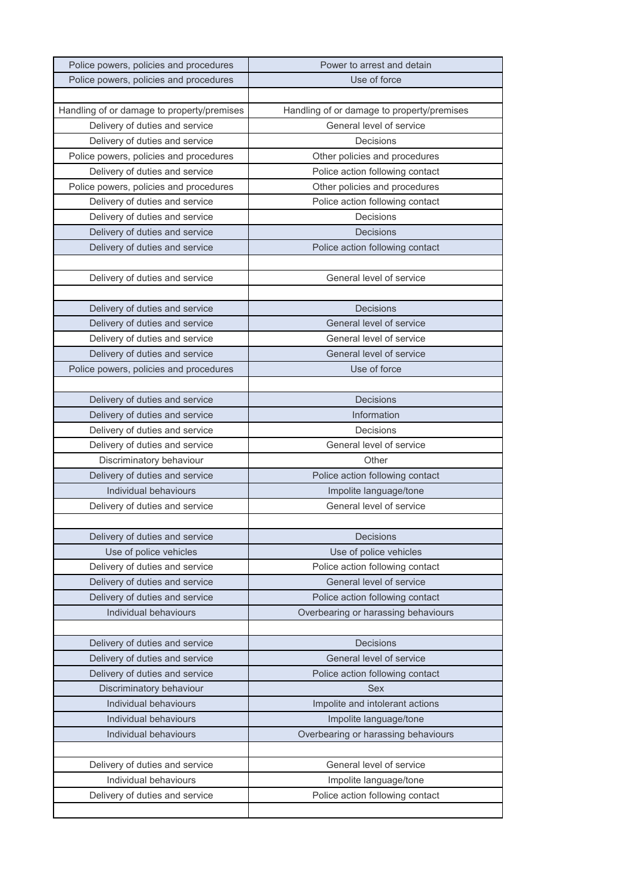| Police powers, policies and procedures     | Power to arrest and detain                 |
|--------------------------------------------|--------------------------------------------|
| Police powers, policies and procedures     | Use of force                               |
|                                            |                                            |
| Handling of or damage to property/premises | Handling of or damage to property/premises |
| Delivery of duties and service             | General level of service                   |
| Delivery of duties and service             | Decisions                                  |
| Police powers, policies and procedures     | Other policies and procedures              |
| Delivery of duties and service             | Police action following contact            |
| Police powers, policies and procedures     | Other policies and procedures              |
| Delivery of duties and service             | Police action following contact            |
| Delivery of duties and service             | Decisions                                  |
| Delivery of duties and service             | <b>Decisions</b>                           |
| Delivery of duties and service             | Police action following contact            |
|                                            |                                            |
| Delivery of duties and service             | General level of service                   |
|                                            |                                            |
| Delivery of duties and service             | Decisions                                  |
| Delivery of duties and service             | General level of service                   |
| Delivery of duties and service             | General level of service                   |
| Delivery of duties and service             | General level of service                   |
| Police powers, policies and procedures     | Use of force                               |
|                                            |                                            |
| Delivery of duties and service             | <b>Decisions</b>                           |
| Delivery of duties and service             | Information                                |
| Delivery of duties and service             | Decisions                                  |
| Delivery of duties and service             | General level of service                   |
| Discriminatory behaviour                   | Other                                      |
| Delivery of duties and service             | Police action following contact            |
| Individual behaviours                      | Impolite language/tone                     |
| Delivery of duties and service             | General level of service                   |
|                                            |                                            |
| Delivery of duties and service             | Decisions                                  |
| Use of police vehicles                     | Use of police vehicles                     |
| Delivery of duties and service             | Police action following contact            |
| Delivery of duties and service             | General level of service                   |
| Delivery of duties and service             | Police action following contact            |
| Individual behaviours                      | Overbearing or harassing behaviours        |
|                                            |                                            |
| Delivery of duties and service             | <b>Decisions</b>                           |
| Delivery of duties and service             | General level of service                   |
| Delivery of duties and service             | Police action following contact            |
| Discriminatory behaviour                   | <b>Sex</b>                                 |
| Individual behaviours                      | Impolite and intolerant actions            |
| Individual behaviours                      | Impolite language/tone                     |
| Individual behaviours                      | Overbearing or harassing behaviours        |
|                                            |                                            |
| Delivery of duties and service             | General level of service                   |
| Individual behaviours                      | Impolite language/tone                     |
| Delivery of duties and service             | Police action following contact            |
|                                            |                                            |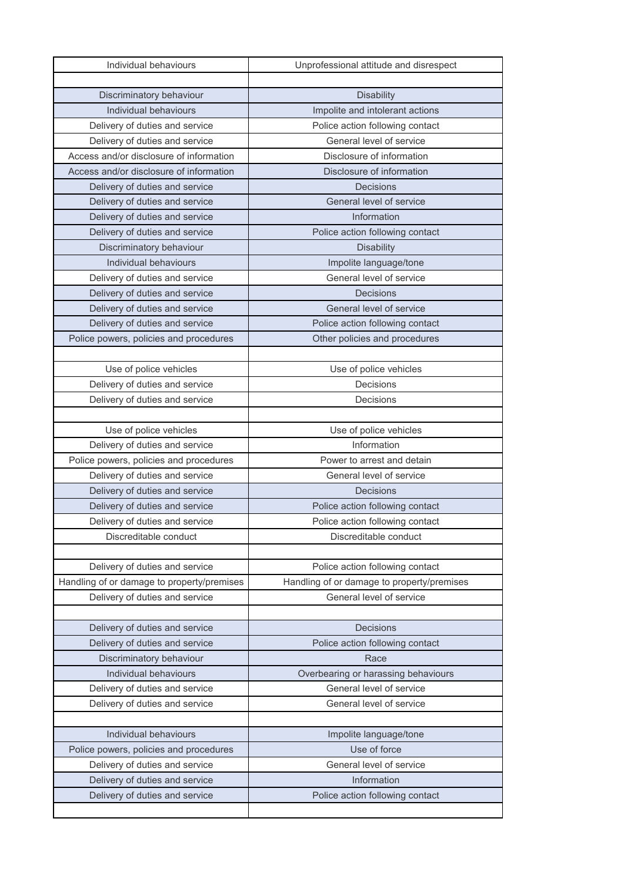| Individual behaviours                      | Unprofessional attitude and disrespect     |
|--------------------------------------------|--------------------------------------------|
|                                            |                                            |
| Discriminatory behaviour                   | <b>Disability</b>                          |
| Individual behaviours                      | Impolite and intolerant actions            |
| Delivery of duties and service             | Police action following contact            |
| Delivery of duties and service             | General level of service                   |
| Access and/or disclosure of information    | Disclosure of information                  |
| Access and/or disclosure of information    | Disclosure of information                  |
| Delivery of duties and service             | Decisions                                  |
| Delivery of duties and service             | General level of service                   |
| Delivery of duties and service             | Information                                |
| Delivery of duties and service             | Police action following contact            |
| Discriminatory behaviour                   | <b>Disability</b>                          |
| Individual behaviours                      | Impolite language/tone                     |
| Delivery of duties and service             | General level of service                   |
| Delivery of duties and service             | <b>Decisions</b>                           |
| Delivery of duties and service             | General level of service                   |
| Delivery of duties and service             | Police action following contact            |
| Police powers, policies and procedures     | Other policies and procedures              |
|                                            |                                            |
| Use of police vehicles                     | Use of police vehicles                     |
| Delivery of duties and service             | Decisions                                  |
| Delivery of duties and service             | Decisions                                  |
|                                            |                                            |
| Use of police vehicles                     | Use of police vehicles                     |
| Delivery of duties and service             | Information                                |
| Police powers, policies and procedures     | Power to arrest and detain                 |
| Delivery of duties and service             | General level of service                   |
| Delivery of duties and service             | <b>Decisions</b>                           |
| Delivery of duties and service             | Police action following contact            |
| Delivery of duties and service             | Police action following contact            |
| Discreditable conduct                      | Discreditable conduct                      |
|                                            |                                            |
| Delivery of duties and service             | Police action following contact            |
| Handling of or damage to property/premises | Handling of or damage to property/premises |
| Delivery of duties and service             | General level of service                   |
|                                            |                                            |
| Delivery of duties and service             | <b>Decisions</b>                           |
| Delivery of duties and service             | Police action following contact            |
| Discriminatory behaviour                   | Race                                       |
| Individual behaviours                      | Overbearing or harassing behaviours        |
| Delivery of duties and service             | General level of service                   |
| Delivery of duties and service             | General level of service                   |
|                                            |                                            |
| Individual behaviours                      | Impolite language/tone                     |
| Police powers, policies and procedures     | Use of force                               |
| Delivery of duties and service             | General level of service                   |
| Delivery of duties and service             | Information                                |
| Delivery of duties and service             | Police action following contact            |
|                                            |                                            |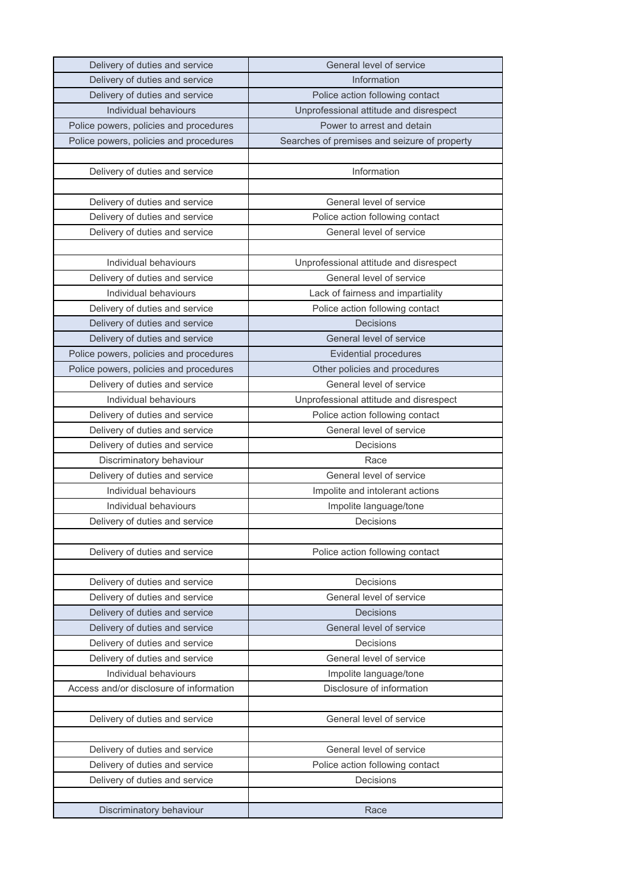| Delivery of duties and service          | General level of service                     |
|-----------------------------------------|----------------------------------------------|
| Delivery of duties and service          | Information                                  |
| Delivery of duties and service          | Police action following contact              |
| Individual behaviours                   | Unprofessional attitude and disrespect       |
| Police powers, policies and procedures  | Power to arrest and detain                   |
| Police powers, policies and procedures  | Searches of premises and seizure of property |
|                                         |                                              |
| Delivery of duties and service          | Information                                  |
|                                         |                                              |
| Delivery of duties and service          | General level of service                     |
| Delivery of duties and service          | Police action following contact              |
| Delivery of duties and service          | General level of service                     |
|                                         |                                              |
| Individual behaviours                   | Unprofessional attitude and disrespect       |
| Delivery of duties and service          | General level of service                     |
| Individual behaviours                   | Lack of fairness and impartiality            |
| Delivery of duties and service          | Police action following contact              |
| Delivery of duties and service          | Decisions                                    |
| Delivery of duties and service          | General level of service                     |
| Police powers, policies and procedures  | <b>Evidential procedures</b>                 |
| Police powers, policies and procedures  | Other policies and procedures                |
| Delivery of duties and service          | General level of service                     |
| Individual behaviours                   | Unprofessional attitude and disrespect       |
| Delivery of duties and service          | Police action following contact              |
| Delivery of duties and service          | General level of service                     |
| Delivery of duties and service          | Decisions                                    |
| Discriminatory behaviour                | Race                                         |
| Delivery of duties and service          | General level of service                     |
| Individual behaviours                   | Impolite and intolerant actions              |
| Individual behaviours                   | Impolite language/tone                       |
| Delivery of duties and service          | Decisions                                    |
|                                         |                                              |
| Delivery of duties and service          | Police action following contact              |
|                                         |                                              |
| Delivery of duties and service          | Decisions                                    |
| Delivery of duties and service          | General level of service                     |
| Delivery of duties and service          | Decisions                                    |
| Delivery of duties and service          | General level of service                     |
| Delivery of duties and service          | Decisions                                    |
| Delivery of duties and service          | General level of service                     |
| Individual behaviours                   | Impolite language/tone                       |
| Access and/or disclosure of information | Disclosure of information                    |
|                                         |                                              |
| Delivery of duties and service          | General level of service                     |
|                                         |                                              |
| Delivery of duties and service          | General level of service                     |
| Delivery of duties and service          | Police action following contact              |
| Delivery of duties and service          | Decisions                                    |
|                                         |                                              |
| Discriminatory behaviour                | Race                                         |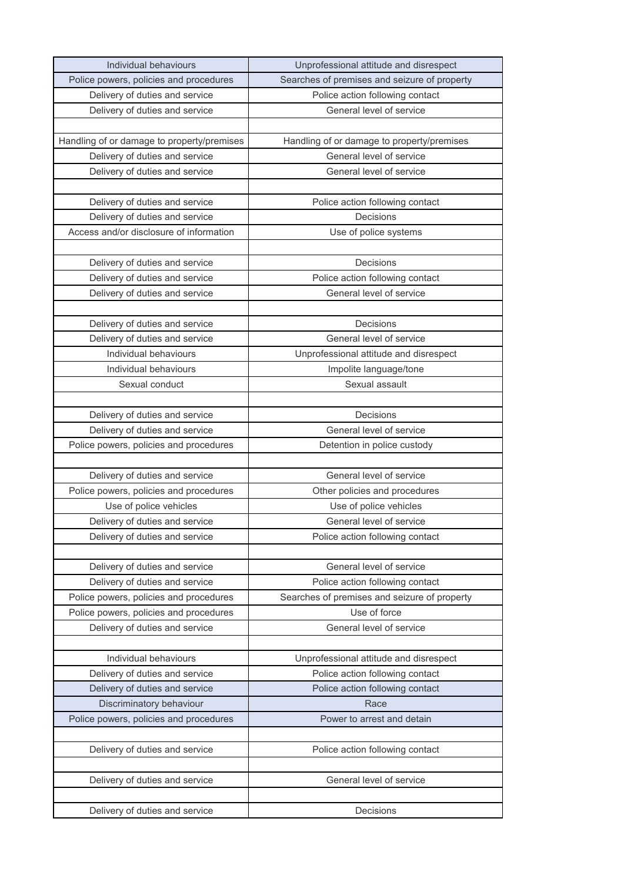| Individual behaviours                      | Unprofessional attitude and disrespect       |
|--------------------------------------------|----------------------------------------------|
| Police powers, policies and procedures     | Searches of premises and seizure of property |
| Delivery of duties and service             | Police action following contact              |
| Delivery of duties and service             | General level of service                     |
|                                            |                                              |
| Handling of or damage to property/premises | Handling of or damage to property/premises   |
| Delivery of duties and service             | General level of service                     |
| Delivery of duties and service             | General level of service                     |
|                                            |                                              |
| Delivery of duties and service             | Police action following contact              |
| Delivery of duties and service             | Decisions                                    |
| Access and/or disclosure of information    | Use of police systems                        |
|                                            |                                              |
| Delivery of duties and service             | Decisions                                    |
| Delivery of duties and service             | Police action following contact              |
| Delivery of duties and service             | General level of service                     |
|                                            |                                              |
| Delivery of duties and service             | Decisions                                    |
| Delivery of duties and service             | General level of service                     |
| Individual behaviours                      | Unprofessional attitude and disrespect       |
| Individual behaviours                      | Impolite language/tone                       |
| Sexual conduct                             | Sexual assault                               |
|                                            |                                              |
| Delivery of duties and service             | Decisions                                    |
| Delivery of duties and service             | General level of service                     |
| Police powers, policies and procedures     | Detention in police custody                  |
|                                            |                                              |
| Delivery of duties and service             | General level of service                     |
| Police powers, policies and procedures     | Other policies and procedures                |
| Use of police vehicles                     | Use of police vehicles                       |
| Delivery of duties and service             | General level of service                     |
| Delivery of duties and service             | Police action following contact              |
|                                            |                                              |
| Delivery of duties and service             | General level of service                     |
| Delivery of duties and service             | Police action following contact              |
| Police powers, policies and procedures     | Searches of premises and seizure of property |
| Police powers, policies and procedures     | Use of force                                 |
| Delivery of duties and service             | General level of service                     |
|                                            |                                              |
| Individual behaviours                      | Unprofessional attitude and disrespect       |
| Delivery of duties and service             | Police action following contact              |
| Delivery of duties and service             | Police action following contact              |
| Discriminatory behaviour                   | Race                                         |
| Police powers, policies and procedures     | Power to arrest and detain                   |
|                                            |                                              |
| Delivery of duties and service             | Police action following contact              |
|                                            |                                              |
| Delivery of duties and service             | General level of service                     |
|                                            |                                              |
| Delivery of duties and service             | Decisions                                    |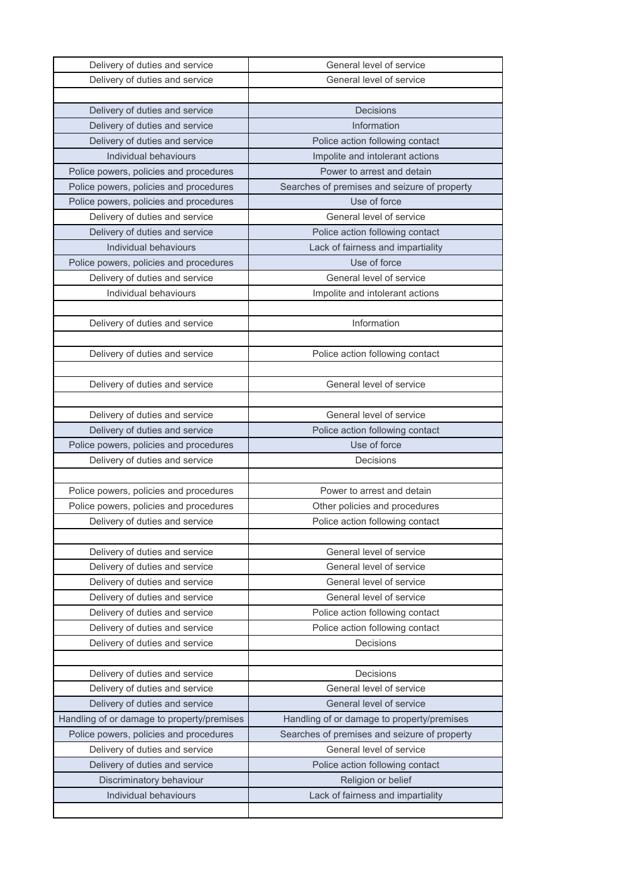| Delivery of duties and service             | General level of service                     |
|--------------------------------------------|----------------------------------------------|
| Delivery of duties and service             | General level of service                     |
|                                            |                                              |
| Delivery of duties and service             | Decisions                                    |
| Delivery of duties and service             | Information                                  |
| Delivery of duties and service             | Police action following contact              |
| Individual behaviours                      | Impolite and intolerant actions              |
| Police powers, policies and procedures     | Power to arrest and detain                   |
| Police powers, policies and procedures     | Searches of premises and seizure of property |
| Police powers, policies and procedures     | Use of force                                 |
| Delivery of duties and service             | General level of service                     |
| Delivery of duties and service             | Police action following contact              |
| Individual behaviours                      | Lack of fairness and impartiality            |
| Police powers, policies and procedures     | Use of force                                 |
| Delivery of duties and service             | General level of service                     |
| Individual behaviours                      | Impolite and intolerant actions              |
|                                            |                                              |
| Delivery of duties and service             | Information                                  |
|                                            |                                              |
| Delivery of duties and service             | Police action following contact              |
|                                            |                                              |
| Delivery of duties and service             | General level of service                     |
|                                            |                                              |
| Delivery of duties and service             | General level of service                     |
| Delivery of duties and service             | Police action following contact              |
| Police powers, policies and procedures     | Use of force                                 |
| Delivery of duties and service             | Decisions                                    |
|                                            |                                              |
| Police powers, policies and procedures     | Power to arrest and detain                   |
| Police powers, policies and procedures     | Other policies and procedures                |
| Delivery of duties and service             | Police action following contact              |
|                                            |                                              |
| Delivery of duties and service             | General level of service                     |
| Delivery of duties and service             | General level of service                     |
| Delivery of duties and service             | General level of service                     |
| Delivery of duties and service             | General level of service                     |
| Delivery of duties and service             | Police action following contact              |
| Delivery of duties and service             | Police action following contact              |
| Delivery of duties and service             | Decisions                                    |
|                                            |                                              |
| Delivery of duties and service             | Decisions                                    |
| Delivery of duties and service             | General level of service                     |
| Delivery of duties and service             | General level of service                     |
| Handling of or damage to property/premises | Handling of or damage to property/premises   |
| Police powers, policies and procedures     | Searches of premises and seizure of property |
| Delivery of duties and service             | General level of service                     |
| Delivery of duties and service             | Police action following contact              |
| Discriminatory behaviour                   | Religion or belief                           |
| Individual behaviours                      | Lack of fairness and impartiality            |
|                                            |                                              |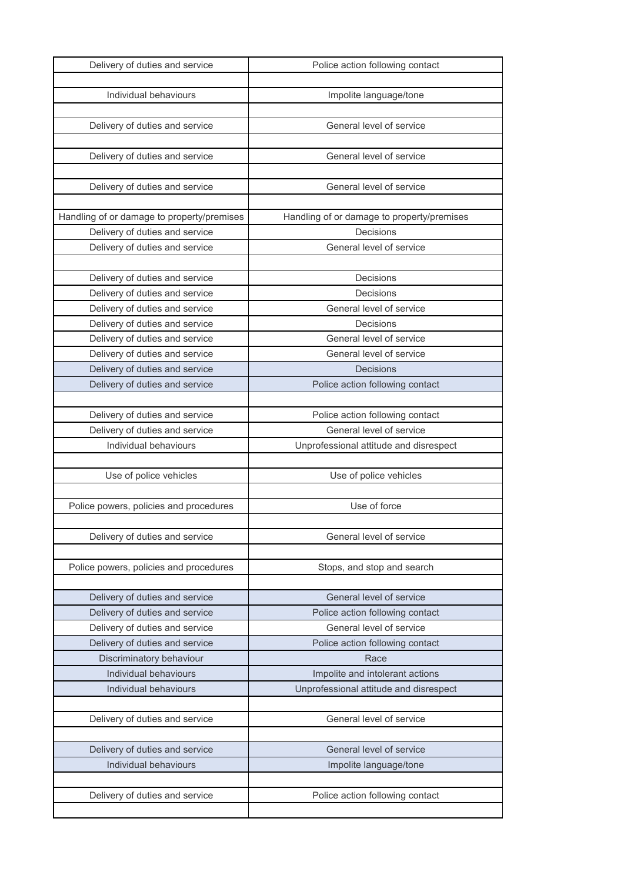| Delivery of duties and service             | Police action following contact            |
|--------------------------------------------|--------------------------------------------|
|                                            |                                            |
| Individual behaviours                      | Impolite language/tone                     |
|                                            |                                            |
| Delivery of duties and service             | General level of service                   |
|                                            |                                            |
| Delivery of duties and service             | General level of service                   |
|                                            |                                            |
| Delivery of duties and service             | General level of service                   |
|                                            |                                            |
| Handling of or damage to property/premises | Handling of or damage to property/premises |
| Delivery of duties and service             | Decisions                                  |
| Delivery of duties and service             | General level of service                   |
|                                            |                                            |
| Delivery of duties and service             | Decisions                                  |
| Delivery of duties and service             | Decisions                                  |
| Delivery of duties and service             | General level of service                   |
| Delivery of duties and service             | Decisions                                  |
| Delivery of duties and service             | General level of service                   |
| Delivery of duties and service             | General level of service                   |
| Delivery of duties and service             | Decisions                                  |
| Delivery of duties and service             | Police action following contact            |
|                                            |                                            |
| Delivery of duties and service             | Police action following contact            |
| Delivery of duties and service             | General level of service                   |
| Individual behaviours                      | Unprofessional attitude and disrespect     |
|                                            |                                            |
| Use of police vehicles                     | Use of police vehicles                     |
|                                            |                                            |
| Police powers, policies and procedures     | Use of force                               |
|                                            |                                            |
| Delivery of duties and service             | General level of service                   |
|                                            |                                            |
| Police powers, policies and procedures     | Stops, and stop and search                 |
|                                            |                                            |
| Delivery of duties and service             | General level of service                   |
| Delivery of duties and service             | Police action following contact            |
| Delivery of duties and service             | General level of service                   |
| Delivery of duties and service             | Police action following contact            |
| Discriminatory behaviour                   | Race                                       |
| Individual behaviours                      | Impolite and intolerant actions            |
| Individual behaviours                      | Unprofessional attitude and disrespect     |
|                                            |                                            |
| Delivery of duties and service             | General level of service                   |
|                                            |                                            |
| Delivery of duties and service             | General level of service                   |
| Individual behaviours                      | Impolite language/tone                     |
|                                            |                                            |
| Delivery of duties and service             |                                            |
|                                            | Police action following contact            |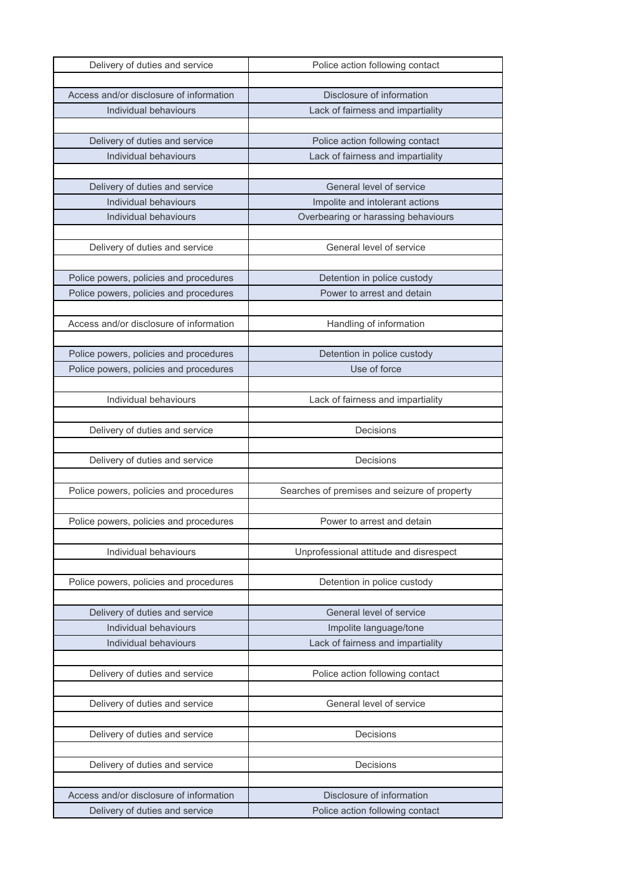| Delivery of duties and service                                            | Police action following contact                              |
|---------------------------------------------------------------------------|--------------------------------------------------------------|
|                                                                           |                                                              |
| Access and/or disclosure of information                                   | Disclosure of information                                    |
| Individual behaviours                                                     | Lack of fairness and impartiality                            |
|                                                                           |                                                              |
| Delivery of duties and service                                            | Police action following contact                              |
| Individual behaviours                                                     | Lack of fairness and impartiality                            |
|                                                                           |                                                              |
| Delivery of duties and service                                            | General level of service                                     |
| Individual behaviours                                                     | Impolite and intolerant actions                              |
| Individual behaviours                                                     | Overbearing or harassing behaviours                          |
|                                                                           |                                                              |
| Delivery of duties and service                                            | General level of service                                     |
|                                                                           |                                                              |
| Police powers, policies and procedures                                    | Detention in police custody                                  |
| Police powers, policies and procedures                                    | Power to arrest and detain                                   |
|                                                                           |                                                              |
| Access and/or disclosure of information                                   | Handling of information                                      |
|                                                                           |                                                              |
| Police powers, policies and procedures                                    | Detention in police custody                                  |
| Police powers, policies and procedures                                    | Use of force                                                 |
|                                                                           |                                                              |
| Individual behaviours                                                     | Lack of fairness and impartiality                            |
|                                                                           |                                                              |
| Delivery of duties and service                                            | Decisions                                                    |
|                                                                           |                                                              |
| Delivery of duties and service                                            |                                                              |
|                                                                           | Decisions                                                    |
|                                                                           |                                                              |
| Police powers, policies and procedures                                    | Searches of premises and seizure of property                 |
|                                                                           |                                                              |
| Police powers, policies and procedures                                    | Power to arrest and detain                                   |
|                                                                           |                                                              |
| Individual behaviours                                                     | Unprofessional attitude and disrespect                       |
|                                                                           |                                                              |
| Police powers, policies and procedures                                    | Detention in police custody                                  |
|                                                                           |                                                              |
| Delivery of duties and service                                            | General level of service                                     |
| Individual behaviours                                                     | Impolite language/tone                                       |
| Individual behaviours                                                     | Lack of fairness and impartiality                            |
|                                                                           |                                                              |
| Delivery of duties and service                                            | Police action following contact                              |
|                                                                           |                                                              |
| Delivery of duties and service                                            | General level of service                                     |
|                                                                           |                                                              |
| Delivery of duties and service                                            | Decisions                                                    |
|                                                                           |                                                              |
| Delivery of duties and service                                            | Decisions                                                    |
|                                                                           |                                                              |
| Access and/or disclosure of information<br>Delivery of duties and service | Disclosure of information<br>Police action following contact |